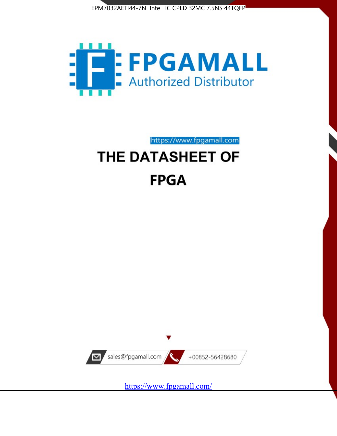



https://www.fpgamall.com

# THE DATASHEET OF **FPGA**



<https://www.fpgamall.com/>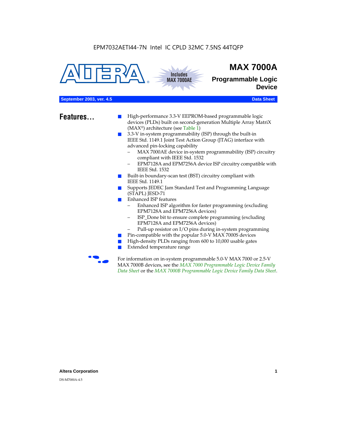



## **MAX 7000A**

**Programmable Logic Device**

## **September 2003, ver. 4.5** Data Sheet

- **Features...** High-performance 3.3-V EEPROM-based programmable logic devices (PLDs) built on second-generation Multiple Array MatriX (MAX®) architecture (see Table 1)
	- 3.3-V in-system programmability (ISP) through the built-in IEEE Std. 1149.1 Joint Test Action Group (JTAG) interface with advanced pin-locking capability
		- MAX 7000AE device in-system programmability (ISP) circuitry compliant with IEEE Std. 1532
		- EPM7128A and EPM7256A device ISP circuitry compatible with IEEE Std. 1532
	- Built-in boundary-scan test (BST) circuitry compliant with IEEE Std. 1149.1
	- Supports JEDEC Jam Standard Test and Programming Language (STAPL) JESD-71
	- Enhanced ISP features
		- Enhanced ISP algorithm for faster programming (excluding EPM7128A and EPM7256A devices)
		- ISP\_Done bit to ensure complete programming (excluding EPM7128A and EPM7256A devices)
		- Pull-up resistor on I/O pins during in-system programming
	- Pin-compatible with the popular 5.0-V MAX 7000S devices
	- High-density PLDs ranging from 600 to 10,000 usable gates
	- Extended temperature range

For information on in-system programmable 5.0-V MAX 7000 or 2.5-V MAX 7000B devices, see the *MAX 7000 Programmable Logic Device Family Data Sheet* or the *MAX 7000B Programmable Logic Device Family Data Sheet*.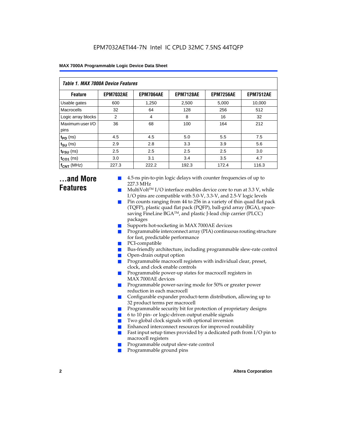| Table 1. MAX 7000A Device Features |                  |                  |                  |                  |                  |  |  |  |
|------------------------------------|------------------|------------------|------------------|------------------|------------------|--|--|--|
| <b>Feature</b>                     | <b>EPM7032AE</b> | <b>EPM7064AE</b> | <b>EPM7128AE</b> | <b>EPM7256AE</b> | <b>EPM7512AE</b> |  |  |  |
| Usable gates                       | 600              | 1,250            | 2,500            | 5,000            | 10,000           |  |  |  |
| Macrocells                         | 32               | 64               | 128              | 256              | 512              |  |  |  |
| Logic array blocks                 | 2                | 4                | 8                | 16               | 32               |  |  |  |
| Maximum user I/O<br>pins           | 36               | 68               | 100              | 164              | 212              |  |  |  |
| $t_{PD}$ (ns)                      | 4.5              | 4.5              | 5.0              | 5.5              | 7.5              |  |  |  |
| $t_{\text{SU}}$ (ns)               | 2.9              | 2.8              | 3.3              | 3.9              | 5.6              |  |  |  |
| $t_{\text{FSU}}$ (ns)              | 2.5              | 2.5              | 2.5              | 2.5              | 3.0              |  |  |  |
| $t_{CO1}$ (ns)                     | 3.0              | 3.1              | 3.4              | 3.5              | 4.7              |  |  |  |
| $f_{\text{CNT}}$ (MHz)             | 227.3            | 222.2            | 192.3            | 172.4            | 116.3            |  |  |  |

## **...and More Features**

- 4.5-ns pin-to-pin logic delays with counter frequencies of up to 227.3 MHz
- $Multivolt<sup>TM</sup> I/O interface enables device core to run at 3.3 V, while$ I/O pins are compatible with 5.0-V, 3.3-V, and 2.5-V logic levels
- Pin counts ranging from 44 to 256 in a variety of thin quad flat pack (TQFP), plastic quad flat pack (PQFP), ball-grid array (BGA), spacesaving FineLine BGA™, and plastic J-lead chip carrier (PLCC) packages
- Supports hot-socketing in MAX 7000AE devices
- Programmable interconnect array (PIA) continuous routing structure for fast, predictable performance
- PCI-compatible
- Bus-friendly architecture, including programmable slew-rate control
- Open-drain output option
- Programmable macrocell registers with individual clear, preset, clock, and clock enable controls
- Programmable power-up states for macrocell registers in MAX 7000AE devices
- Programmable power-saving mode for 50% or greater power reduction in each macrocell
- Configurable expander product-term distribution, allowing up to 32 product terms per macrocell
- Programmable security bit for protection of proprietary designs
- 6 to 10 pin- or logic-driven output enable signals
- Two global clock signals with optional inversion
- Enhanced interconnect resources for improved routability
- Fast input setup times provided by a dedicated path from  $I/O$  pin to macrocell registers
- Programmable output slew-rate control
- Programmable ground pins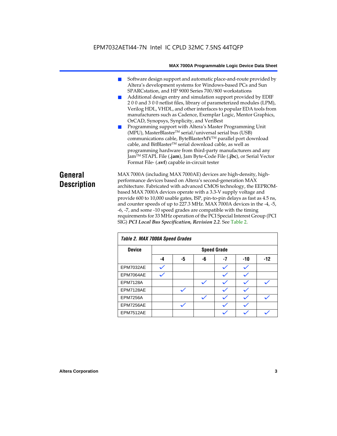## EPM7032AETI44-7N Intel IC CPLD 32MC 7.5NS 44TQFP

#### **MAX 7000A Programmable Logic Device Data Sheet**

- Software design support and automatic place-and-route provided by Altera's development systems for Windows-based PCs and Sun SPARCstation, and HP 9000 Series 700/800 workstations
- Additional design entry and simulation support provided by EDIF 2 0 0 and 3 0 0 netlist files, library of parameterized modules (LPM), Verilog HDL, VHDL, and other interfaces to popular EDA tools from manufacturers such as Cadence, Exemplar Logic, Mentor Graphics, OrCAD, Synopsys, Synplicity, and VeriBest
- Programming support with Altera's Master Programming Unit (MPU), MasterBlaster™ serial/universal serial bus (USB) communications cable, ByteBlasterMVTM parallel port download cable, and BitBlaster™ serial download cable, as well as programming hardware from third-party manufacturers and any JamTM STAPL File (**.jam**), Jam Byte-Code File (**.jbc**), or Serial Vector Format File- (**.svf**) capable in-circuit tester

## **General Description**

MAX 7000A (including MAX 7000AE) devices are high-density, highperformance devices based on Altera's second-generation MAX architecture. Fabricated with advanced CMOS technology, the EEPROMbased MAX 7000A devices operate with a 3.3-V supply voltage and provide 600 to 10,000 usable gates, ISP, pin-to-pin delays as fast as 4.5 ns, and counter speeds of up to 227.3 MHz. MAX 7000A devices in the -4, -5, -6, -7, and some -10 speed grades are compatible with the timing requirements for 33 MHz operation of the PCI Special Interest Group (PCI SIG) *PCI Local Bus Specification, Revision 2.2*. See Table 2.

| Table 2. MAX 7000A Speed Grades |                    |    |    |    |     |       |  |
|---------------------------------|--------------------|----|----|----|-----|-------|--|
| <b>Device</b>                   | <b>Speed Grade</b> |    |    |    |     |       |  |
|                                 | -4                 | -5 | -6 | -7 | -10 | $-12$ |  |
| EPM7032AE                       |                    |    |    |    |     |       |  |
| EPM7064AE                       |                    |    |    |    |     |       |  |
| <b>EPM7128A</b>                 |                    |    |    |    |     |       |  |
| EPM7128AE                       |                    |    |    |    |     |       |  |
| <b>EPM7256A</b>                 |                    |    |    |    |     |       |  |
| EPM7256AE                       |                    |    |    |    |     |       |  |
| EPM7512AE                       |                    |    |    |    |     |       |  |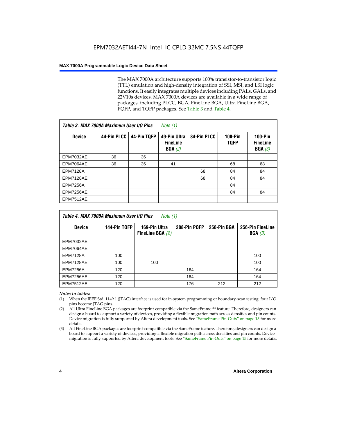The MAX 7000A architecture supports 100% transistor-to-transistor logic (TTL) emulation and high-density integration of SSI, MSI, and LSI logic functions. It easily integrates multiple devices including PALs, GALs, and 22V10s devices. MAX 7000A devices are available in a wide range of packages, including PLCC, BGA, FineLine BGA, Ultra FineLine BGA, PQFP, and TQFP packages. See Table 3 and Table 4.

| Table 3. MAX 7000A Maximum User I/O Pins |             |             | Note $(1)$                                |             |                               |                                        |
|------------------------------------------|-------------|-------------|-------------------------------------------|-------------|-------------------------------|----------------------------------------|
| <b>Device</b>                            | 44-Pin PLCC | 44-Pin TQFP | 49-Pin Ultra<br><b>FineLine</b><br>BGA(2) | 84-Pin PLCC | <b>100-Pin</b><br><b>TQFP</b> | $100-Pin$<br><b>FineLine</b><br>BGA(3) |
| <b>EPM7032AE</b>                         | 36          | 36          |                                           |             |                               |                                        |
| EPM7064AE                                | 36          | 36          | 41                                        |             | 68                            | 68                                     |
| <b>EPM7128A</b>                          |             |             |                                           | 68          | 84                            | 84                                     |
| EPM7128AE                                |             |             |                                           | 68          | 84                            | 84                                     |
| <b>EPM7256A</b>                          |             |             |                                           |             | 84                            |                                        |
| EPM7256AE                                |             |             |                                           |             | 84                            | 84                                     |
| <b>EPM7512AE</b>                         |             |             |                                           |             |                               |                                        |

| Table 4. MAX 7000A Maximum User I/O Pins<br>Note (1) |              |                                     |              |             |                            |  |  |  |
|------------------------------------------------------|--------------|-------------------------------------|--------------|-------------|----------------------------|--|--|--|
| <b>Device</b>                                        | 144-Pin TQFP | 169-Pin Ultra<br>FineLine BGA $(2)$ | 208-Pin PQFP | 256-Pin BGA | 256-Pin FineLine<br>BGA(3) |  |  |  |
| EPM7032AE                                            |              |                                     |              |             |                            |  |  |  |
| EPM7064AE                                            |              |                                     |              |             |                            |  |  |  |
| <b>EPM7128A</b>                                      | 100          |                                     |              |             | 100                        |  |  |  |
| EPM7128AE                                            | 100          | 100                                 |              |             | 100                        |  |  |  |
| <b>EPM7256A</b>                                      | 120          |                                     | 164          |             | 164                        |  |  |  |
| EPM7256AE                                            | 120          |                                     | 164          |             | 164                        |  |  |  |
| EPM7512AE                                            | 120          |                                     | 176          | 212         | 212                        |  |  |  |

#### *Notes to tables:*

- (1) When the IEEE Std. 1149.1 (JTAG) interface is used for in-system programming or boundary-scan testing, four I/O pins become JTAG pins.
- (2) All Ultra FineLine BGA packages are footprint-compatible via the SameFrame<sup>TM</sup> feature. Therefore, designers can design a board to support a variety of devices, providing a flexible migration path across densities and pin counts. Device migration is fully supported by Altera development tools. See "SameFrame Pin-Outs" on page 15 for more details.
- (3) All FineLine BGA packages are footprint-compatible via the SameFrame feature. Therefore, designers can design a board to support a variety of devices, providing a flexible migration path across densities and pin counts. Device migration is fully supported by Altera development tools. See "SameFrame Pin-Outs" on page 15 for more details.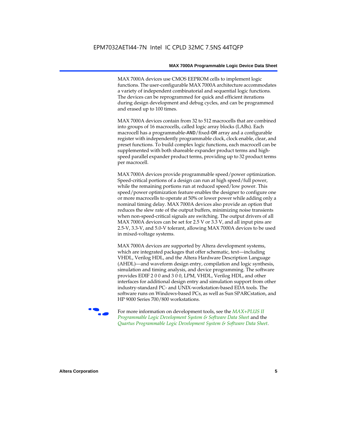MAX 7000A devices use CMOS EEPROM cells to implement logic functions. The user-configurable MAX 7000A architecture accommodates a variety of independent combinatorial and sequential logic functions. The devices can be reprogrammed for quick and efficient iterations during design development and debug cycles, and can be programmed and erased up to 100 times.

MAX 7000A devices contain from 32 to 512 macrocells that are combined into groups of 16 macrocells, called logic array blocks (LABs). Each macrocell has a programmable-AND/fixed-OR array and a configurable register with independently programmable clock, clock enable, clear, and preset functions. To build complex logic functions, each macrocell can be supplemented with both shareable expander product terms and highspeed parallel expander product terms, providing up to 32 product terms per macrocell.

MAX 7000A devices provide programmable speed/power optimization. Speed-critical portions of a design can run at high speed/full power, while the remaining portions run at reduced speed/low power. This speed/power optimization feature enables the designer to configure one or more macrocells to operate at 50% or lower power while adding only a nominal timing delay. MAX 7000A devices also provide an option that reduces the slew rate of the output buffers, minimizing noise transients when non-speed-critical signals are switching. The output drivers of all MAX 7000A devices can be set for 2.5 V or 3.3 V, and all input pins are 2.5-V, 3.3-V, and 5.0-V tolerant, allowing MAX 7000A devices to be used in mixed-voltage systems.

MAX 7000A devices are supported by Altera development systems, which are integrated packages that offer schematic, text—including VHDL, Verilog HDL, and the Altera Hardware Description Language (AHDL)—and waveform design entry, compilation and logic synthesis, simulation and timing analysis, and device programming. The software provides EDIF 2 0 0 and 3 0 0, LPM, VHDL, Verilog HDL, and other interfaces for additional design entry and simulation support from other industry-standard PC- and UNIX-workstation-based EDA tools. The software runs on Windows-based PCs, as well as Sun SPARCstation, and HP 9000 Series 700/800 workstations.

**For more information on development tools, see the** *MAX+PLUS II Programmable Logic Development System & Software Data Sheet* and the *Quartus Programmable Logic Development System & Software Data Sheet*.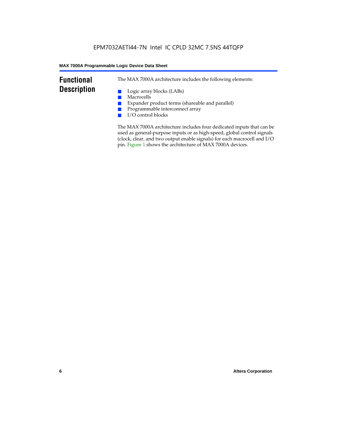## **Functional Description**

The MAX 7000A architecture includes the following elements:

- Logic array blocks (LABs)
- Macrocells
- Expander product terms (shareable and parallel)
- Programmable interconnect array
- I/O control blocks

The MAX 7000A architecture includes four dedicated inputs that can be used as general-purpose inputs or as high-speed, global control signals (clock, clear, and two output enable signals) for each macrocell and I/O pin. Figure 1 shows the architecture of MAX 7000A devices.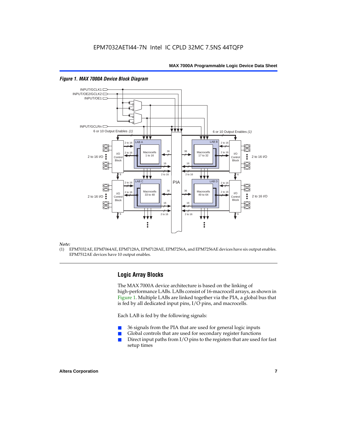

#### *Figure 1. MAX 7000A Device Block Diagram*

#### *Note:*

(1) EPM7032AE, EPM7064AE, EPM7128A, EPM7128AE, EPM7256A, and EPM7256AE devices have six output enables. EPM7512AE devices have 10 output enables.

## **Logic Array Blocks**

The MAX 7000A device architecture is based on the linking of high-performance LABs. LABs consist of 16-macrocell arrays, as shown in Figure 1. Multiple LABs are linked together via the PIA, a global bus that is fed by all dedicated input pins, I/O pins, and macrocells.

Each LAB is fed by the following signals:

- 36 signals from the PIA that are used for general logic inputs
- Global controls that are used for secondary register functions
- Direct input paths from  $I/O$  pins to the registers that are used for fast setup times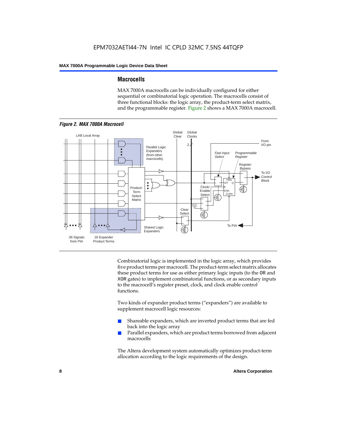## **Macrocells**

MAX 7000A macrocells can be individually configured for either sequential or combinatorial logic operation. The macrocells consist of three functional blocks: the logic array, the product-term select matrix, and the programmable register. Figure 2 shows a MAX 7000A macrocell.



Combinatorial logic is implemented in the logic array, which provides five product terms per macrocell. The product-term select matrix allocates these product terms for use as either primary logic inputs (to the OR and XOR gates) to implement combinatorial functions, or as secondary inputs to the macrocell's register preset, clock, and clock enable control functions.

Two kinds of expander product terms ("expanders") are available to supplement macrocell logic resources:

- Shareable expanders, which are inverted product terms that are fed back into the logic array
- Parallel expanders, which are product terms borrowed from adjacent macrocells

The Altera development system automatically optimizes product-term allocation according to the logic requirements of the design.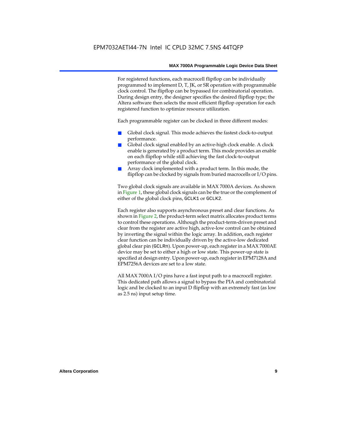For registered functions, each macrocell flipflop can be individually programmed to implement D, T, JK, or SR operation with programmable clock control. The flipflop can be bypassed for combinatorial operation. During design entry, the designer specifies the desired flipflop type; the Altera software then selects the most efficient flipflop operation for each registered function to optimize resource utilization.

Each programmable register can be clocked in three different modes:

- Global clock signal. This mode achieves the fastest clock-to-output performance.
- Global clock signal enabled by an active-high clock enable. A clock enable is generated by a product term. This mode provides an enable on each flipflop while still achieving the fast clock-to-output performance of the global clock.
- Array clock implemented with a product term. In this mode, the flipflop can be clocked by signals from buried macrocells or I/O pins.

Two global clock signals are available in MAX 7000A devices. As shown in Figure 1, these global clock signals can be the true or the complement of either of the global clock pins, GCLK1 or GCLK2.

Each register also supports asynchronous preset and clear functions. As shown in Figure 2, the product-term select matrix allocates product terms to control these operations. Although the product-term-driven preset and clear from the register are active high, active-low control can be obtained by inverting the signal within the logic array. In addition, each register clear function can be individually driven by the active-low dedicated global clear pin (GCLRn). Upon power-up, each register in a MAX 7000AE device may be set to either a high or low state. This power-up state is specified at design entry. Upon power-up, each register in EPM7128A and EPM7256A devices are set to a low state.

All MAX 7000A I/O pins have a fast input path to a macrocell register. This dedicated path allows a signal to bypass the PIA and combinatorial logic and be clocked to an input D flipflop with an extremely fast (as low as 2.5 ns) input setup time.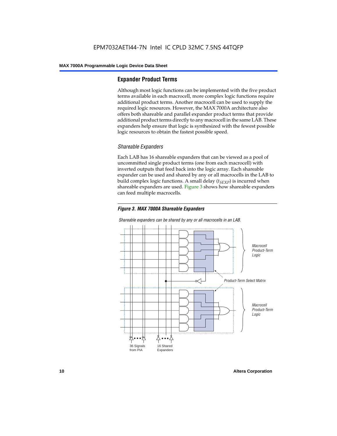## **Expander Product Terms**

Although most logic functions can be implemented with the five product terms available in each macrocell, more complex logic functions require additional product terms. Another macrocell can be used to supply the required logic resources. However, the MAX 7000A architecture also offers both shareable and parallel expander product terms that provide additional product terms directly to any macrocell in the same LAB. These expanders help ensure that logic is synthesized with the fewest possible logic resources to obtain the fastest possible speed.

## *Shareable Expanders*

Each LAB has 16 shareable expanders that can be viewed as a pool of uncommitted single product terms (one from each macrocell) with inverted outputs that feed back into the logic array. Each shareable expander can be used and shared by any or all macrocells in the LAB to build complex logic functions. A small delay  $(t_{SFXP})$  is incurred when shareable expanders are used. Figure 3 shows how shareable expanders can feed multiple macrocells.





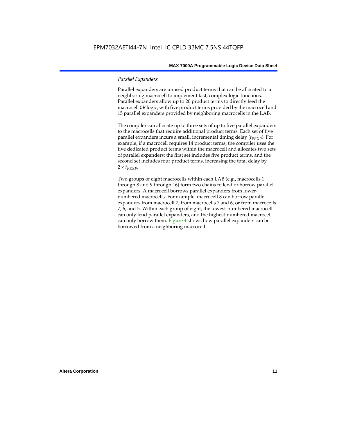### *Parallel Expanders*

Parallel expanders are unused product terms that can be allocated to a neighboring macrocell to implement fast, complex logic functions. Parallel expanders allow up to 20 product terms to directly feed the macrocell OR logic, with five product terms provided by the macrocell and 15 parallel expanders provided by neighboring macrocells in the LAB.

The compiler can allocate up to three sets of up to five parallel expanders to the macrocells that require additional product terms. Each set of five parallel expanders incurs a small, incremental timing delay (*t<sub>PEXP</sub>*). For example, if a macrocell requires 14 product terms, the compiler uses the five dedicated product terms within the macrocell and allocates two sets of parallel expanders; the first set includes five product terms, and the second set includes four product terms, increasing the total delay by  $2 \times t_{PEXP}$ .

Two groups of eight macrocells within each LAB (e.g., macrocells 1 through 8 and 9 through 16) form two chains to lend or borrow parallel expanders. A macrocell borrows parallel expanders from lowernumbered macrocells. For example, macrocell 8 can borrow parallel expanders from macrocell 7, from macrocells 7 and 6, or from macrocells 7, 6, and 5. Within each group of eight, the lowest-numbered macrocell can only lend parallel expanders, and the highest-numbered macrocell can only borrow them. Figure 4 shows how parallel expanders can be borrowed from a neighboring macrocell.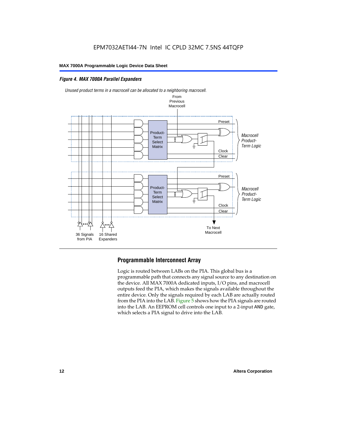## *Figure 4. MAX 7000A Parallel Expanders*





## **Programmable Interconnect Array**

Logic is routed between LABs on the PIA. This global bus is a programmable path that connects any signal source to any destination on the device. All MAX 7000A dedicated inputs, I/O pins, and macrocell outputs feed the PIA, which makes the signals available throughout the entire device. Only the signals required by each LAB are actually routed from the PIA into the LAB. Figure 5 shows how the PIA signals are routed into the LAB. An EEPROM cell controls one input to a 2-input AND gate, which selects a PIA signal to drive into the LAB.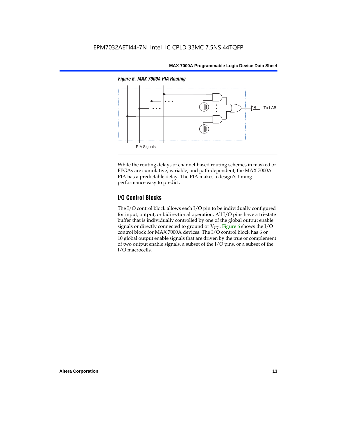

While the routing delays of channel-based routing schemes in masked or FPGAs are cumulative, variable, and path-dependent, the MAX 7000A PIA has a predictable delay. The PIA makes a design's timing performance easy to predict.

## **I/O Control Blocks**

The I/O control block allows each I/O pin to be individually configured for input, output, or bidirectional operation. All I/O pins have a tri-state buffer that is individually controlled by one of the global output enable signals or directly connected to ground or  $V_{CC}$ . Figure 6 shows the I/O control block for MAX 7000A devices. The I/O control block has 6 or 10 global output enable signals that are driven by the true or complement of two output enable signals, a subset of the I/O pins, or a subset of the I/O macrocells.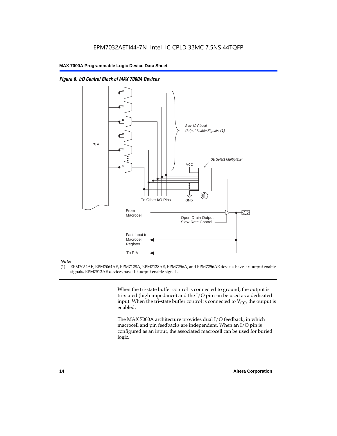

From Macrocell

Fast Input to Macrocell Register

To PIA

*Figure 6. I/O Control Block of MAX 7000A Devices*

#### *Note:*

(1) EPM7032AE, EPM7064AE, EPM7128A, EPM7128AE, EPM7256A, and EPM7256AE devices have six output enable signals. EPM7512AE devices have 10 output enable signals.

> When the tri-state buffer control is connected to ground, the output is tri-stated (high impedance) and the I/O pin can be used as a dedicated input. When the tri-state buffer control is connected to  $V_{CC}$ , the output is enabled.

Slew-Rate Control

Open-Drain Output

The MAX 7000A architecture provides dual I/O feedback, in which macrocell and pin feedbacks are independent. When an I/O pin is configured as an input, the associated macrocell can be used for buried logic.

交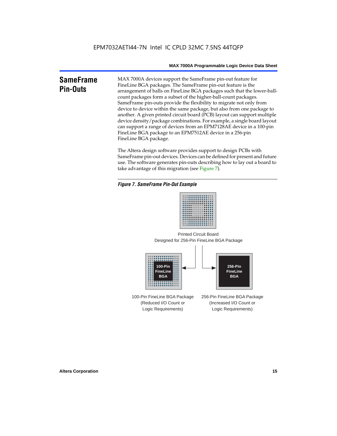## **SameFrame Pin-Outs**

MAX 7000A devices support the SameFrame pin-out feature for FineLine BGA packages. The SameFrame pin-out feature is the arrangement of balls on FineLine BGA packages such that the lower-ballcount packages form a subset of the higher-ball-count packages. SameFrame pin-outs provide the flexibility to migrate not only from device to device within the same package, but also from one package to another. A given printed circuit board (PCB) layout can support multiple device density/package combinations. For example, a single board layout can support a range of devices from an EPM7128AE device in a 100-pin FineLine BGA package to an EPM7512AE device in a 256-pin FineLine BGA package.

The Altera design software provides support to design PCBs with SameFrame pin-out devices. Devices can be defined for present and future use. The software generates pin-outs describing how to lay out a board to take advantage of this migration (see Figure 7).

#### *Figure 7. SameFrame Pin-Out Example*



Designed for 256-Pin FineLine BGA Package Printed Circuit Board



100-Pin FineLine BGA Package (Reduced I/O Count or Logic Requirements) 256-Pin FineLine BGA Package (Increased I/O Count or Logic Requirements)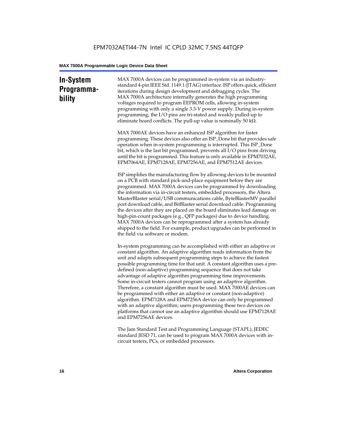## **In-System Programmability**

MAX 7000A devices can be programmed in-system via an industrystandard 4-pin IEEE Std. 1149.1 (JTAG) interface. ISP offers quick, efficient iterations during design development and debugging cycles. The MAX 7000A architecture internally generates the high programming voltages required to program EEPROM cells, allowing in-system programming with only a single 3.3-V power supply. During in-system programming, the I/O pins are tri-stated and weakly pulled-up to eliminate board conflicts. The pull-up value is nominally 50 k $\Omega$ .

MAX 7000AE devices have an enhanced ISP algorithm for faster programming. These devices also offer an ISP\_Done bit that provides safe operation when in-system programming is interrupted. This ISP\_Done bit, which is the last bit programmed, prevents all I/O pins from driving until the bit is programmed. This feature is only available in EPM7032AE, EPM7064AE, EPM7128AE, EPM7256AE, and EPM7512AE devices.

ISP simplifies the manufacturing flow by allowing devices to be mounted on a PCB with standard pick-and-place equipment before they are programmed. MAX 7000A devices can be programmed by downloading the information via in-circuit testers, embedded processors, the Altera MasterBlaster serial/USB communications cable, ByteBlasterMV parallel port download cable, and BitBlaster serial download cable. Programming the devices after they are placed on the board eliminates lead damage on high-pin-count packages (e.g., QFP packages) due to device handling. MAX 7000A devices can be reprogrammed after a system has already shipped to the field. For example, product upgrades can be performed in the field via software or modem.

In-system programming can be accomplished with either an adaptive or constant algorithm. An adaptive algorithm reads information from the unit and adapts subsequent programming steps to achieve the fastest possible programming time for that unit. A constant algorithm uses a predefined (non-adaptive) programming sequence that does not take advantage of adaptive algorithm programming time improvements. Some in-circuit testers cannot program using an adaptive algorithm. Therefore, a constant algorithm must be used. MAX 7000AE devices can be programmed with either an adaptive or constant (non-adaptive) algorithm. EPM7128A and EPM7256A device can only be programmed with an adaptive algorithm; users programming these two devices on platforms that cannot use an adaptive algorithm should use EPM7128AE and EPM7256AE devices.

The Jam Standard Test and Programming Language (STAPL), JEDEC standard JESD 71, can be used to program MAX 7000A devices with incircuit testers, PCs, or embedded processors.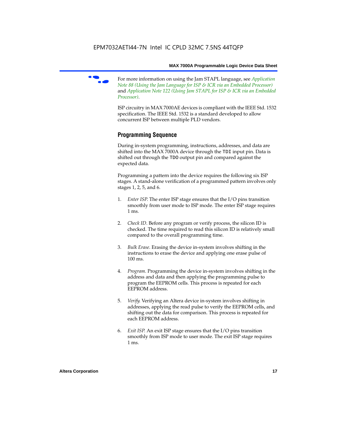

f For more information on using the Jam STAPL language, see *Application Note 88 (Using the Jam Language for ISP & ICR via an Embedded Processor)*  and *Application Note 122 (Using Jam STAPL for ISP & ICR via an Embedded Processor)*.

ISP circuitry in MAX 7000AE devices is compliant with the IEEE Std. 1532 specification. The IEEE Std. 1532 is a standard developed to allow concurrent ISP between multiple PLD vendors.

## **Programming Sequence**

During in-system programming, instructions, addresses, and data are shifted into the MAX 7000A device through the TDI input pin. Data is shifted out through the TDO output pin and compared against the expected data.

Programming a pattern into the device requires the following six ISP stages. A stand-alone verification of a programmed pattern involves only stages 1, 2, 5, and 6.

- 1. *Enter ISP*. The enter ISP stage ensures that the I/O pins transition smoothly from user mode to ISP mode. The enter ISP stage requires 1 ms.
- 2. *Check ID*. Before any program or verify process, the silicon ID is checked. The time required to read this silicon ID is relatively small compared to the overall programming time.
- 3. *Bulk Erase*. Erasing the device in-system involves shifting in the instructions to erase the device and applying one erase pulse of 100 ms.
- 4. *Program*. Programming the device in-system involves shifting in the address and data and then applying the programming pulse to program the EEPROM cells. This process is repeated for each EEPROM address.
- 5. *Verify*. Verifying an Altera device in-system involves shifting in addresses, applying the read pulse to verify the EEPROM cells, and shifting out the data for comparison. This process is repeated for each EEPROM address.
- 6. *Exit ISP*. An exit ISP stage ensures that the I/O pins transition smoothly from ISP mode to user mode. The exit ISP stage requires 1 ms.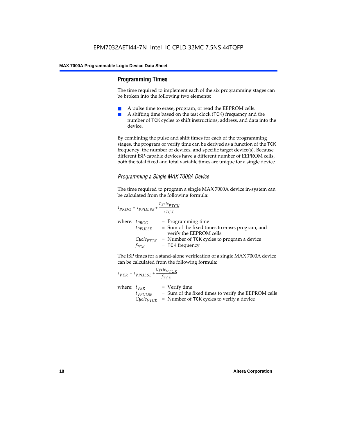## **Programming Times**

The time required to implement each of the six programming stages can be broken into the following two elements:

- A pulse time to erase, program, or read the EEPROM cells.
- A shifting time based on the test clock (TCK) frequency and the number of TCK cycles to shift instructions, address, and data into the device.

By combining the pulse and shift times for each of the programming stages, the program or verify time can be derived as a function of the TCK frequency, the number of devices, and specific target device(s). Because different ISP-capable devices have a different number of EEPROM cells, both the total fixed and total variable times are unique for a single device.

## *Programming a Single MAX 7000A Device*

The time required to program a single MAX 7000A device in-system can be calculated from the following formula:

$$
t_{PROG} = t_{PPULSE} + \frac{c_{ycle_{PTCK}}}{f_{TCK}}
$$
  
where:  $t_{PROG}$  = Programming time  
 $t_{PPULSE}$  = Sum of the fixed times to erase, program, and  
verify the EEPROM cells  
 $C_{ycle_{PTCK}}$  = Number of TCK cycles to program a device  
 $f_{TCK}$  = TCK frequency

The ISP times for a stand-alone verification of a single MAX 7000A device can be calculated from the following formula:

| $t_{VER} = t_{VPULSE} + \frac{Cycle_{VTCK}}{f_{TCK}}$ |                                                                                                                                 |
|-------------------------------------------------------|---------------------------------------------------------------------------------------------------------------------------------|
| where: $t_{VER}$<br>$t_{VPULSE}$                      | $=$ Verify time<br>= Sum of the fixed times to verify the EEPROM cells<br>$CycleVTCK$ = Number of TCK cycles to verify a device |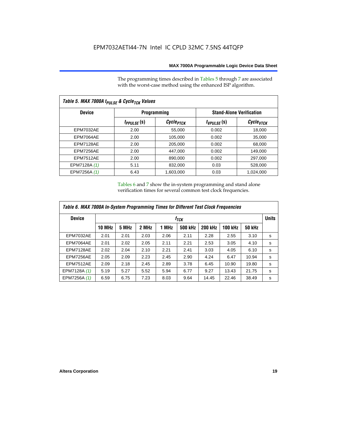The programming times described in Tables 5 through 7 are associated with the worst-case method using the enhanced ISP algorithm.

| Table 5. MAX 7000A t <sub>PULSE</sub> & Cycle <sub>TCK</sub> Values |                 |                       |                                 |                       |  |  |  |  |
|---------------------------------------------------------------------|-----------------|-----------------------|---------------------------------|-----------------------|--|--|--|--|
| <b>Device</b>                                                       |                 | <b>Programming</b>    | <b>Stand-Alone Verification</b> |                       |  |  |  |  |
|                                                                     | $t_{PPULSE}(s)$ | Cycle <sub>PTCK</sub> | $t_{VPULSE}(s)$                 | Cycle <sub>vTCK</sub> |  |  |  |  |
| <b>EPM7032AE</b>                                                    | 2.00            | 55,000                | 0.002                           | 18,000                |  |  |  |  |
| EPM7064AE                                                           | 2.00            | 105,000               | 0.002                           | 35,000                |  |  |  |  |
| EPM7128AE                                                           | 2.00            | 205,000               | 0.002                           | 68,000                |  |  |  |  |
| EPM7256AE                                                           | 2.00            | 447,000               | 0.002                           | 149.000               |  |  |  |  |
| <b>EPM7512AE</b>                                                    | 2.00            | 890,000               | 0.002                           | 297,000               |  |  |  |  |
| EPM7128A (1)                                                        | 5.11            | 832,000               | 0.03                            | 528,000               |  |  |  |  |
| EPM7256A (1)                                                        | 6.43            | 1.603.000             | 0.03                            | 1,024,000             |  |  |  |  |

Tables 6 and 7 show the in-system programming and stand alone verification times for several common test clock frequencies.

| Table 6. MAX 7000A In-System Programming Times for Different Test Clock Frequencies |               |                  |       |       |         |                |                |               |   |
|-------------------------------------------------------------------------------------|---------------|------------------|-------|-------|---------|----------------|----------------|---------------|---|
| <b>Device</b>                                                                       |               | f <sub>тск</sub> |       |       |         |                |                |               |   |
|                                                                                     | <b>10 MHz</b> | 5 MHz            | 2 MHz | 1 MHz | 500 kHz | <b>200 kHz</b> | <b>100 kHz</b> | <b>50 kHz</b> |   |
| <b>EPM7032AE</b>                                                                    | 2.01          | 2.01             | 2.03  | 2.06  | 2.11    | 2.28           | 2.55           | 3.10          | s |
| EPM7064AE                                                                           | 2.01          | 2.02             | 2.05  | 2.11  | 2.21    | 2.53           | 3.05           | 4.10          | s |
| EPM7128AE                                                                           | 2.02          | 2.04             | 2.10  | 2.21  | 2.41    | 3.03           | 4.05           | 6.10          | s |
| EPM7256AE                                                                           | 2.05          | 2.09             | 2.23  | 2.45  | 2.90    | 4.24           | 6.47           | 10.94         | s |
| <b>EPM7512AE</b>                                                                    | 2.09          | 2.18             | 2.45  | 2.89  | 3.78    | 6.45           | 10.90          | 19.80         | s |
| EPM7128A (1)                                                                        | 5.19          | 5.27             | 5.52  | 5.94  | 6.77    | 9.27           | 13.43          | 21.75         | s |
| EPM7256A (1)                                                                        | 6.59          | 6.75             | 7.23  | 8.03  | 9.64    | 14.45          | 22.46          | 38.49         | s |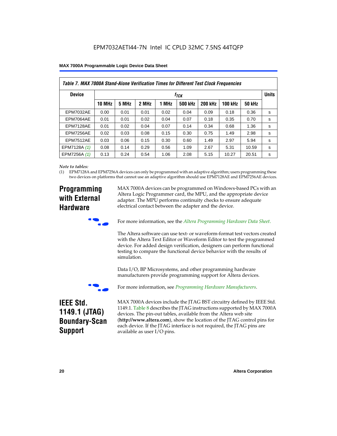| Table 7. MAX 7000A Stand-Alone Verification Times for Different Test Clock Frequencies |               |                                  |       |       |                |                |                |               |   |
|----------------------------------------------------------------------------------------|---------------|----------------------------------|-------|-------|----------------|----------------|----------------|---------------|---|
| <b>Device</b>                                                                          |               | <b>Units</b><br>f <sub>ТСК</sub> |       |       |                |                |                |               |   |
|                                                                                        | <b>10 MHz</b> | 5 MHz                            | 2 MHz | 1 MHz | <b>500 kHz</b> | <b>200 kHz</b> | <b>100 kHz</b> | <b>50 kHz</b> |   |
| <b>EPM7032AE</b>                                                                       | 0.00          | 0.01                             | 0.01  | 0.02  | 0.04           | 0.09           | 0.18           | 0.36          | s |
| EPM7064AE                                                                              | 0.01          | 0.01                             | 0.02  | 0.04  | 0.07           | 0.18           | 0.35           | 0.70          | s |
| EPM7128AE                                                                              | 0.01          | 0.02                             | 0.04  | 0.07  | 0.14           | 0.34           | 0.68           | 1.36          | s |
| EPM7256AE                                                                              | 0.02          | 0.03                             | 0.08  | 0.15  | 0.30           | 0.75           | 1.49           | 2.98          | S |
| <b>EPM7512AE</b>                                                                       | 0.03          | 0.06                             | 0.15  | 0.30  | 0.60           | 1.49           | 2.97           | 5.94          | s |
| EPM7128A (1)                                                                           | 0.08          | 0.14                             | 0.29  | 0.56  | 1.09           | 2.67           | 5.31           | 10.59         | s |
| EPM7256A (1)                                                                           | 0.13          | 0.24                             | 0.54  | 1.06  | 2.08           | 5.15           | 10.27          | 20.51         | s |

#### *Note to tables:*

(1) EPM7128A and EPM7256A devices can only be programmed with an adaptive algorithm; users programming these two devices on platforms that cannot use an adaptive algorithm should use EPM7128AE and EPM7256AE devices.

## **Programming with External Hardware**

MAX 7000A devices can be programmed on Windows-based PCs with an Altera Logic Programmer card, the MPU, and the appropriate device adapter. The MPU performs continuity checks to ensure adequate electrical contact between the adapter and the device.



For more information, see the *Altera Programming Hardware Data Sheet*.

The Altera software can use text- or waveform-format test vectors created with the Altera Text Editor or Waveform Editor to test the programmed device. For added design verification, designers can perform functional testing to compare the functional device behavior with the results of simulation.

Data I/O, BP Microsystems, and other programming hardware manufacturers provide programming support for Altera devices.



For more information, see *Programming Hardware Manufacturers*.

## **IEEE Std. 1149.1 (JTAG) Boundary-Scan Support**

MAX 7000A devices include the JTAG BST circuitry defined by IEEE Std. 1149.1. Table 8 describes the JTAG instructions supported by MAX 7000A devices. The pin-out tables, available from the Altera web site (**http://www.altera.com**), show the location of the JTAG control pins for each device. If the JTAG interface is not required, the JTAG pins are available as user I/O pins.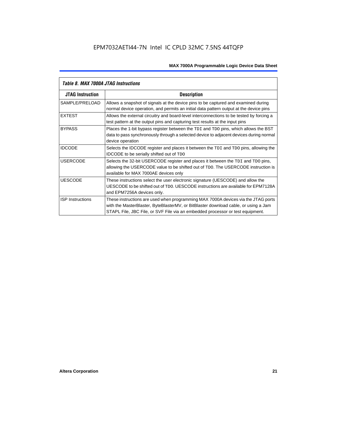| Table 8. MAX 7000A JTAG Instructions |                                                                                                                                                                                                                                                            |  |  |  |  |
|--------------------------------------|------------------------------------------------------------------------------------------------------------------------------------------------------------------------------------------------------------------------------------------------------------|--|--|--|--|
| <b>JTAG Instruction</b>              | <b>Description</b>                                                                                                                                                                                                                                         |  |  |  |  |
| SAMPLE/PRELOAD                       | Allows a snapshot of signals at the device pins to be captured and examined during<br>normal device operation, and permits an initial data pattern output at the device pins                                                                               |  |  |  |  |
| <b>EXTEST</b>                        | Allows the external circuitry and board-level interconnections to be tested by forcing a<br>test pattern at the output pins and capturing test results at the input pins                                                                                   |  |  |  |  |
| <b>BYPASS</b>                        | Places the 1-bit bypass register between the TDI and TDO pins, which allows the BST<br>data to pass synchronously through a selected device to adjacent devices during normal<br>device operation                                                          |  |  |  |  |
| <b>IDCODE</b>                        | Selects the IDCODE register and places it between the TDI and TDO pins, allowing the<br><b>IDCODE</b> to be serially shifted out of TDO                                                                                                                    |  |  |  |  |
| <b>USERCODE</b>                      | Selects the 32-bit USERCODE register and places it between the TDI and TDO pins,<br>allowing the USERCODE value to be shifted out of TDO. The USERCODE instruction is<br>available for MAX 7000AE devices only                                             |  |  |  |  |
| <b>UESCODE</b>                       | These instructions select the user electronic signature (UESCODE) and allow the<br>UESCODE to be shifted out of TDO, UESCODE instructions are available for EPM7128A<br>and EPM7256A devices only.                                                         |  |  |  |  |
| <b>ISP Instructions</b>              | These instructions are used when programming MAX 7000A devices via the JTAG ports<br>with the MasterBlaster, ByteBlasterMV, or BitBlaster download cable, or using a Jam<br>STAPL File, JBC File, or SVF File via an embedded processor or test equipment. |  |  |  |  |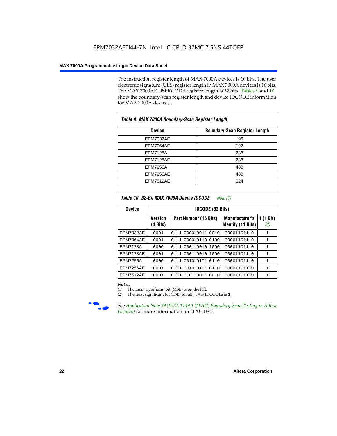The instruction register length of MAX 7000A devices is 10 bits. The user electronic signature (UES) register length in MAX 7000A devices is 16 bits. The MAX 7000AE USERCODE register length is 32 bits. Tables 9 and 10 show the boundary-scan register length and device IDCODE information for MAX 7000A devices.

| Table 9. MAX 7000A Boundary-Scan Register Length |                                      |  |  |  |  |
|--------------------------------------------------|--------------------------------------|--|--|--|--|
| <b>Device</b>                                    | <b>Boundary-Scan Register Length</b> |  |  |  |  |
| <b>EPM7032AE</b>                                 | 96                                   |  |  |  |  |
| EPM7064AE                                        | 192                                  |  |  |  |  |
| <b>EPM7128A</b>                                  | 288                                  |  |  |  |  |
| EPM7128AE                                        | 288                                  |  |  |  |  |
| <b>EPM7256A</b>                                  | 480                                  |  |  |  |  |
| EPM7256AE                                        | 480                                  |  |  |  |  |
| EPM7512AE                                        | 624                                  |  |  |  |  |

| Table 10, 32-Bit MAX 7000A Device IDCODE<br>Note $(1)$ |                     |                         |                                                    |                  |  |  |  |  |  |
|--------------------------------------------------------|---------------------|-------------------------|----------------------------------------------------|------------------|--|--|--|--|--|
| <b>Device</b>                                          |                     | <b>IDCODE (32 Bits)</b> |                                                    |                  |  |  |  |  |  |
|                                                        | Version<br>(4 Bits) | Part Number (16 Bits)   | <b>Manufacturer's</b><br><b>Identity (11 Bits)</b> | 1 (1 Bit)<br>(2) |  |  |  |  |  |
| <b>EPM7032AE</b>                                       | 0001                | 0111 0000 0011 0010     | 00001101110                                        | 1                |  |  |  |  |  |
| EPM7064AE                                              | 0001                | 0111 0000 0110<br>0100  | 00001101110                                        | 1                |  |  |  |  |  |
| <b>EPM7128A</b>                                        | 0000                | 0111 0001 0010<br>1000  | 00001101110                                        | $\mathbf{1}$     |  |  |  |  |  |
| EPM7128AE                                              | 0001                | 0111 0001 0010<br>1000  | 00001101110                                        | 1                |  |  |  |  |  |
| <b>EPM7256A</b>                                        | 0000                | 0010 0101 0110<br>0111  | 00001101110                                        | 1                |  |  |  |  |  |
| EPM7256AE                                              | 0001                | 0111 0010 0101 0110     | 00001101110                                        | 1                |  |  |  |  |  |
| <b>EPM7512AE</b>                                       | 0001                | 0101 0001 0010<br>0111  | 00001101110                                        | 1                |  |  |  |  |  |

#### *Notes:*

(1) The most significant bit (MSB) is on the left.

(2) The least significant bit (LSB) for all JTAG IDCODEs is 1.



**f See Application Note 39 (IEEE 1149.1 (JTAG) Boundary-Scan Testing in Altera** *Devices)* for more information on JTAG BST.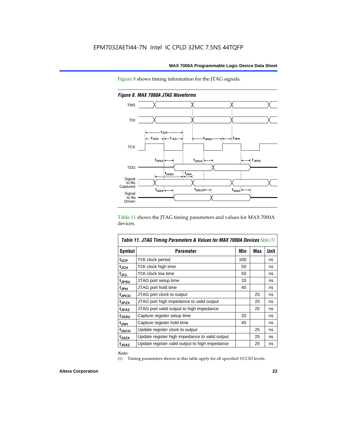Figure 8 shows timing information for the JTAG signals.



*Figure 8. MAX 7000A JTAG Waveforms*

Table 11 shows the JTAG timing parameters and values for MAX 7000A devices.

| <b>Table 11. JTAG Timing Parameters &amp; Values for MAX 7000A Devices Note (1)</b> |                                                |     |     |      |  |  |  |
|-------------------------------------------------------------------------------------|------------------------------------------------|-----|-----|------|--|--|--|
| Symbol                                                                              | <b>Parameter</b>                               | Min | Max | Unit |  |  |  |
| t <sub>JCP</sub>                                                                    | TCK clock period                               | 100 |     | ns   |  |  |  |
| t <sub>JCH</sub>                                                                    | TCK clock high time                            | 50  |     | ns   |  |  |  |
| tjcl                                                                                | TCK clock low time                             | 50  |     | ns   |  |  |  |
| tjpsu                                                                               | JTAG port setup time                           | 20  |     | ns   |  |  |  |
| t <sub>JPH</sub>                                                                    | JTAG port hold time                            | 45  |     | ns   |  |  |  |
| tjpco                                                                               | JTAG port clock to output                      |     | 25  | ns   |  |  |  |
| t <sub>JPZX</sub>                                                                   | JTAG port high impedance to valid output       |     | 25  | ns   |  |  |  |
| t <sub>JPXZ</sub>                                                                   | JTAG port valid output to high impedance       |     | 25  | ns   |  |  |  |
| tjssu                                                                               | Capture register setup time                    | 20  |     | ns   |  |  |  |
| t <sub>JSH</sub>                                                                    | Capture register hold time                     | 45  |     | ns   |  |  |  |
| t <sub>JSCO</sub>                                                                   | Update register clock to output                |     | 25  | ns   |  |  |  |
| t <sub>JSZX</sub>                                                                   | Update register high impedance to valid output |     | 25  | ns   |  |  |  |
| t <sub>JSXZ</sub>                                                                   | Update register valid output to high impedance |     | 25  | ns   |  |  |  |

*Note:*

(1) Timing parameters shown in this table apply for all specified VCCIO levels.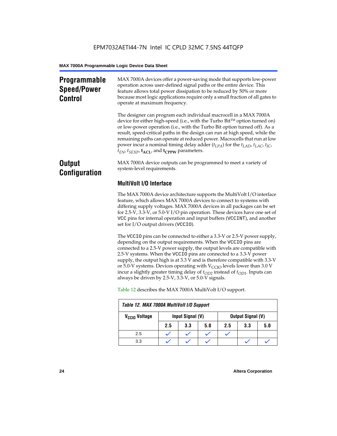## **Programmable Speed/Power Control**

MAX 7000A devices offer a power-saving mode that supports low-power operation across user-defined signal paths or the entire device. This feature allows total power dissipation to be reduced by 50% or more because most logic applications require only a small fraction of all gates to operate at maximum frequency.

The designer can program each individual macrocell in a MAX 7000A device for either high-speed (i.e., with the Turbo  $Bit^{TM}$  option turned on) or low-power operation (i.e., with the Turbo Bit option turned off). As a result, speed-critical paths in the design can run at high speed, while the remaining paths can operate at reduced power. Macrocells that run at low power incur a nominal timing delay adder (*tLPA*) for the *tLAD*, *tLAC*, *tIC*,  $t_{EN}$ ,  $t_{SEXP}$ ,  $t_{ACL}$ , and  $t_{CPPW}$  parameters.

## **Output Configuration**

MAX 7000A device outputs can be programmed to meet a variety of system-level requirements.

## **MultiVolt I/O Interface**

The MAX 7000A device architecture supports the MultiVolt I/O interface feature, which allows MAX 7000A devices to connect to systems with differing supply voltages. MAX 7000A devices in all packages can be set for 2.5-V, 3.3-V, or 5.0-V I/O pin operation. These devices have one set of VCC pins for internal operation and input buffers (VCCINT), and another set for I/O output drivers (VCCIO).

The VCCIO pins can be connected to either a 3.3-V or 2.5-V power supply, depending on the output requirements. When the VCCIO pins are connected to a 2.5-V power supply, the output levels are compatible with 2.5-V systems. When the VCCIO pins are connected to a 3.3-V power supply, the output high is at 3.3 V and is therefore compatible with 3.3-V or 5.0-V systems. Devices operating with  $V_{\text{CCIO}}$  levels lower than 3.0 V incur a slightly greater timing delay of  $t_{OD2}$  instead of  $t_{OD1}$ . Inputs can always be driven by 2.5-V, 3.3-V, or 5.0-V signals.

| Table 12. MAX 7000A MultiVolt I/O Support |     |                                              |     |     |     |     |
|-------------------------------------------|-----|----------------------------------------------|-----|-----|-----|-----|
| V <sub>CCIO</sub> Voltage                 |     | Input Signal (V)<br><b>Output Signal (V)</b> |     |     |     |     |
|                                           | 2.5 | 3.3                                          | 5.0 | 2.5 | 3.3 | 5.0 |
| 2.5                                       |     |                                              |     |     |     |     |
| 3.3                                       |     |                                              |     |     |     |     |

Table 12 describes the MAX 7000A MultiVolt I/O support.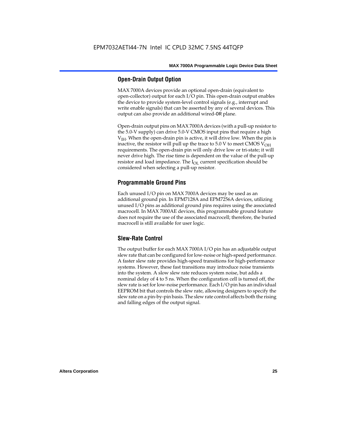## **Open-Drain Output Option**

MAX 7000A devices provide an optional open-drain (equivalent to open-collector) output for each I/O pin. This open-drain output enables the device to provide system-level control signals (e.g., interrupt and write enable signals) that can be asserted by any of several devices. This output can also provide an additional wired-OR plane.

Open-drain output pins on MAX 7000A devices (with a pull-up resistor to the 5.0-V supply) can drive 5.0-V CMOS input pins that require a high  $V<sub>IH</sub>$ . When the open-drain pin is active, it will drive low. When the pin is inactive, the resistor will pull up the trace to  $5.0$  V to meet CMOS V<sub>OH</sub> requirements. The open-drain pin will only drive low or tri-state; it will never drive high. The rise time is dependent on the value of the pull-up resistor and load impedance. The  $I_{OL}$  current specification should be considered when selecting a pull-up resistor.

## **Programmable Ground Pins**

Each unused I/O pin on MAX 7000A devices may be used as an additional ground pin. In EPM7128A and EPM7256A devices, utilizing unused I/O pins as additional ground pins requires using the associated macrocell. In MAX 7000AE devices, this programmable ground feature does not require the use of the associated macrocell; therefore, the buried macrocell is still available for user logic.

## **Slew-Rate Control**

The output buffer for each MAX 7000A I/O pin has an adjustable output slew rate that can be configured for low-noise or high-speed performance. A faster slew rate provides high-speed transitions for high-performance systems. However, these fast transitions may introduce noise transients into the system. A slow slew rate reduces system noise, but adds a nominal delay of 4 to 5 ns. When the configuration cell is turned off, the slew rate is set for low-noise performance. Each I/O pin has an individual EEPROM bit that controls the slew rate, allowing designers to specify the slew rate on a pin-by-pin basis. The slew rate control affects both the rising and falling edges of the output signal.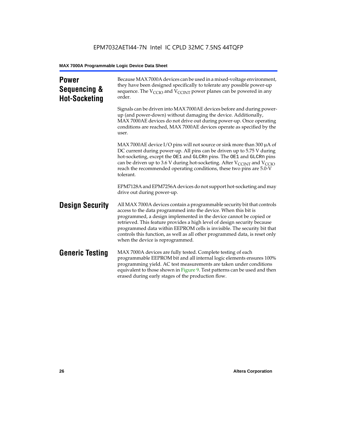| <b>Power</b><br>Sequencing &<br><b>Hot-Socketing</b> | Because MAX 7000A devices can be used in a mixed-voltage environment,<br>they have been designed specifically to tolerate any possible power-up<br>sequence. The $V_{\text{CCIO}}$ and $V_{\text{CCINT}}$ power planes can be powered in any<br>order.                                                                                                                                                                                                                                     |
|------------------------------------------------------|--------------------------------------------------------------------------------------------------------------------------------------------------------------------------------------------------------------------------------------------------------------------------------------------------------------------------------------------------------------------------------------------------------------------------------------------------------------------------------------------|
|                                                      | Signals can be driven into MAX 7000AE devices before and during power-<br>up (and power-down) without damaging the device. Additionally,<br>MAX 7000AE devices do not drive out during power-up. Once operating<br>conditions are reached, MAX 7000AE devices operate as specified by the<br>user.                                                                                                                                                                                         |
|                                                      | MAX 7000AE device I/O pins will not source or sink more than 300 $\mu$ A of<br>DC current during power-up. All pins can be driven up to 5.75 V during<br>hot-socketing, except the OE1 and GLCRn pins. The OE1 and GLCRn pins<br>can be driven up to 3.6 V during hot-socketing. After $V_{C C INT}$ and $V_{C C IO}$<br>reach the recommended operating conditions, these two pins are 5.0-V<br>tolerant.                                                                                 |
|                                                      | EPM7128A and EPM7256A devices do not support hot-socketing and may<br>drive out during power-up.                                                                                                                                                                                                                                                                                                                                                                                           |
| <b>Design Security</b>                               | All MAX 7000A devices contain a programmable security bit that controls<br>access to the data programmed into the device. When this bit is<br>programmed, a design implemented in the device cannot be copied or<br>retrieved. This feature provides a high level of design security because<br>programmed data within EEPROM cells is invisible. The security bit that<br>controls this function, as well as all other programmed data, is reset only<br>when the device is reprogrammed. |
| <b>Generic Testing</b>                               | MAX 7000A devices are fully tested. Complete testing of each<br>programmable EEPROM bit and all internal logic elements ensures 100%<br>programming yield. AC test measurements are taken under conditions<br>equivalent to those shown in Figure 9. Test patterns can be used and then<br>erased during early stages of the production flow.                                                                                                                                              |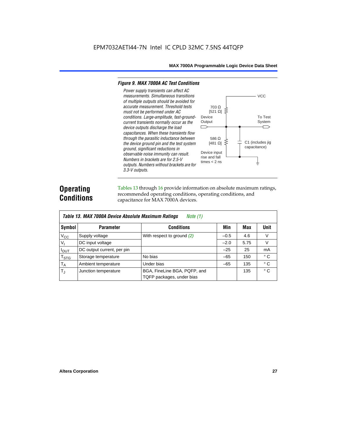#### *Figure 9. MAX 7000A AC Test Conditions*

*3.3-V outputs.*



## **Operating Conditions**

Tables 13 through 16 provide information on absolute maximum ratings, recommended operating conditions, operating conditions, and capacitance for MAX 7000A devices.

|                | Table 13. MAX 7000A Device Absolute Maximum Ratings<br>Note $(1)$ |                                                           |        |      |              |  |  |  |  |  |  |
|----------------|-------------------------------------------------------------------|-----------------------------------------------------------|--------|------|--------------|--|--|--|--|--|--|
| Symbol         | <b>Parameter</b>                                                  | <b>Conditions</b>                                         | Min    | Max  | Unit         |  |  |  |  |  |  |
| $V_{CC}$       | Supply voltage                                                    | With respect to ground $(2)$                              | $-0.5$ | 4.6  | V            |  |  |  |  |  |  |
| V <sub>1</sub> | DC input voltage                                                  |                                                           | $-2.0$ | 5.75 | V            |  |  |  |  |  |  |
| $I_{OUT}$      | DC output current, per pin                                        |                                                           | $-25$  | 25   | mA           |  |  |  |  |  |  |
| $T_{STG}$      | Storage temperature                                               | No bias                                                   | $-65$  | 150  | $^{\circ}$ C |  |  |  |  |  |  |
| $T_A$          | Ambient temperature                                               | Under bias                                                | $-65$  | 135  | ° C          |  |  |  |  |  |  |
| $T_{\rm J}$    | Junction temperature                                              | BGA, FineLine BGA, PQFP, and<br>TQFP packages, under bias |        | 135  | $^{\circ}$ C |  |  |  |  |  |  |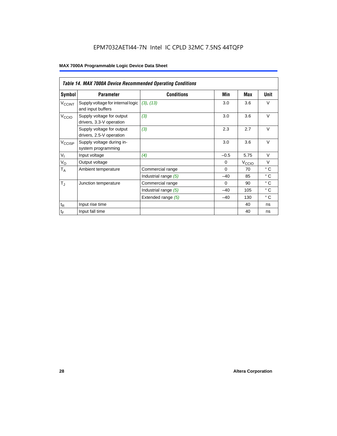## EPM7032AETI44-7N Intel IC CPLD 32MC 7.5NS 44TQFP

|                             | <b>Table 14. MAX 7000A Device Recommended Operating Conditions</b> |                      |          |                   |              |  |  |  |  |  |  |
|-----------------------------|--------------------------------------------------------------------|----------------------|----------|-------------------|--------------|--|--|--|--|--|--|
| Symbol                      | <b>Parameter</b>                                                   | <b>Conditions</b>    | Min      | Max               | Unit         |  |  |  |  |  |  |
| <b>V<sub>CCINT</sub></b>    | Supply voltage for internal logic<br>and input buffers             | (3), (13)            | 3.0      | 3.6               | $\vee$       |  |  |  |  |  |  |
| V <sub>CCIO</sub>           | Supply voltage for output<br>drivers, 3.3-V operation              | (3)                  | 3.0      | 3.6               | $\vee$       |  |  |  |  |  |  |
|                             | Supply voltage for output<br>drivers, 2.5-V operation              | (3)                  | 2.3      | 2.7               | $\vee$       |  |  |  |  |  |  |
| V <sub>CCISP</sub>          | Supply voltage during in-<br>system programming                    |                      | 3.0      | 3.6               | $\vee$       |  |  |  |  |  |  |
| $V_{I}$                     | Input voltage                                                      | (4)                  | $-0.5$   | 5.75              | $\vee$       |  |  |  |  |  |  |
| $V_{\rm O}$                 | Output voltage                                                     |                      | $\Omega$ | $V_{\text{CCIQ}}$ | $\vee$       |  |  |  |  |  |  |
| $T_A$                       | Ambient temperature                                                | Commercial range     | $\Omega$ | 70                | $\circ$ C    |  |  |  |  |  |  |
|                             |                                                                    | Industrial range (5) | $-40$    | 85                | $^{\circ}$ C |  |  |  |  |  |  |
| $T_{\rm J}$                 | Junction temperature                                               | Commercial range     | $\Omega$ | 90                | $^{\circ}$ C |  |  |  |  |  |  |
|                             |                                                                    | Industrial range (5) | $-40$    | 105               | $^{\circ}$ C |  |  |  |  |  |  |
|                             |                                                                    | Extended range (5)   | $-40$    | 130               | $^{\circ}$ C |  |  |  |  |  |  |
| $\mathfrak{t}_{\mathsf{R}}$ | Input rise time                                                    |                      |          | 40                | ns           |  |  |  |  |  |  |
| $\mathfrak{t}_{\mathsf{F}}$ | Input fall time                                                    |                      |          | 40                | ns           |  |  |  |  |  |  |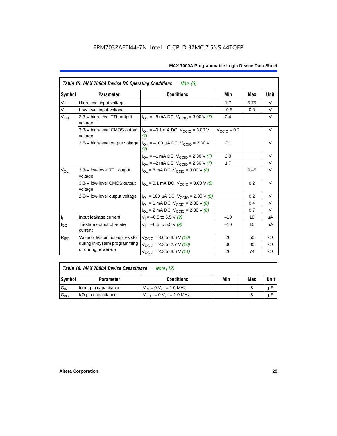|                 | <b>Table 15. MAX 7000A Device DC Operating Conditions</b> | Note (6)                                                                               |                 |      |           |
|-----------------|-----------------------------------------------------------|----------------------------------------------------------------------------------------|-----------------|------|-----------|
| Symbol          | <b>Parameter</b>                                          | <b>Conditions</b>                                                                      | Min             | Max  | Unit      |
| $V_{\text{IH}}$ | High-level input voltage                                  |                                                                                        | 1.7             | 5.75 | $\vee$    |
| $V_{IL}$        | Low-level input voltage                                   |                                                                                        | $-0.5$          | 0.8  | V         |
| V <sub>OH</sub> | 3.3-V high-level TTL output<br>voltage                    | $I_{OH} = -8$ mA DC, $V_{CClO} = 3.00$ V (7)                                           | 2.4             |      | $\vee$    |
|                 | 3.3-V high-level CMOS output<br>voltage                   | $I_{OH} = -0.1$ mA DC, $V_{CClO} = 3.00$ V<br>(7)                                      | $V_{CCD}$ – 0.2 |      | $\vee$    |
|                 |                                                           | 2.5-V high-level output voltage $ I_{OH} = -100 \mu A DC$ , $V_{CClO} = 2.30 V$<br>(7) | 2.1             |      | V         |
|                 |                                                           | $I_{OH} = -1$ mA DC, $V_{CCIO} = 2.30$ V (7)                                           | 2.0             |      | $\vee$    |
|                 |                                                           | $I_{OH} = -2$ mA DC, $V_{CCIO} = 2.30$ V (7)                                           | 1.7             |      | $\vee$    |
| $V_{OL}$        | 3.3-V low-level TTL output<br>voltage                     | $I_{OL}$ = 8 mA DC, $V_{CCIO}$ = 3.00 V (8)                                            |                 | 0.45 | $\vee$    |
|                 | 3.3-V low-level CMOS output<br>voltage                    | $I_{\text{OI}} = 0.1 \text{ mA DC}$ , $V_{\text{CCl}} = 3.00 \text{ V}$ (8)            |                 | 0.2  | V         |
|                 | 2.5-V low-level output voltage                            | $I_{OL}$ = 100 µA DC, $V_{CCIO}$ = 2.30 V (8)                                          |                 | 0.2  | $\vee$    |
|                 |                                                           | $I_{OL}$ = 1 mA DC, $V_{CCIO}$ = 2.30 V (8)                                            |                 | 0.4  | V         |
|                 |                                                           | $I_{OL}$ = 2 mA DC, $V_{CCIO}$ = 2.30 V (8)                                            |                 | 0.7  | V         |
| $\mathbf{l}_1$  | Input leakage current                                     | $V_1 = -0.5$ to 5.5 V (9)                                                              | $-10$           | 10   | μA        |
| $I_{OZ}$        | Tri-state output off-state<br>current                     | $V_1 = -0.5$ to 5.5 V (9)                                                              | $-10$           | 10   | μA        |
| $R_{ISP}$       | Value of I/O pin pull-up resistor                         | $V_{\text{CCIO}}$ = 3.0 to 3.6 V (10)                                                  | 20              | 50   | $k\Omega$ |
|                 | during in-system programming                              | $V_{\text{CCIO}}$ = 2.3 to 2.7 V (10)                                                  | 30              | 80   | $k\Omega$ |
|                 | or during power-up                                        | $V_{\text{CCIO}} = 2.3$ to 3.6 V (11)                                                  | 20              | 74   | $k\Omega$ |

| Table 16. MAX 7000A Device Capacitance | Note (12) |
|----------------------------------------|-----------|
|                                        |           |

| Symbol    | <b>Parameter</b>      | <b>Conditions</b>                   | Min | Max | Unit |
|-----------|-----------------------|-------------------------------------|-----|-----|------|
| $C_{IN}$  | Input pin capacitance | $V_{IN} = 0 V$ , f = 1.0 MHz        |     |     | рF   |
| $C_{I/O}$ | I/O pin capacitance   | $V_{\text{OUT}} = 0 V, f = 1.0 MHz$ |     |     | рF   |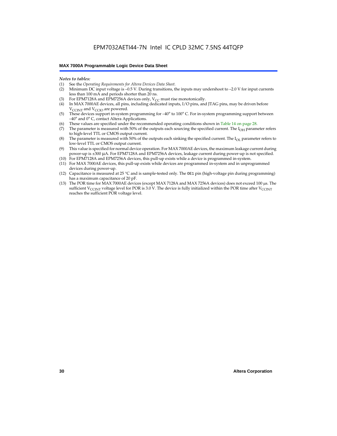#### *Notes to tables:*

- (1) See the *Operating Requirements for Altera Devices Data Sheet.*
- Minimum DC input voltage is –0.5 V. During transitions, the inputs may undershoot to –2.0 V for input currents less than 100 mA and periods shorter than 20 ns.
- (3) For EPM7128A and EPM7256A devices only,  $V_{CC}$  must rise monotonically.
- (4) In MAX 7000AE devices, all pins, including dedicated inputs, I/O pins, and JTAG pins, may be driven before  $V_{\text{CCLNT}}$  and  $V_{\text{CCLO}}$  are powered.
- (5) These devices support in-system programming for –40° to 100° C. For in-system programming support between –40° and 0° C, contact Altera Applications.
- (6) These values are specified under the recommended operating conditions shown in Table 14 on page 28.
- (7) The parameter is measured with 50% of the outputs each sourcing the specified current. The  $I_{OH}$  parameter refers to high-level TTL or CMOS output current.
- (8) The parameter is measured with 50% of the outputs each sinking the specified current. The  $I_{OL}$  parameter refers to low-level TTL or CMOS output current.
- (9) This value is specified for normal device operation. For MAX 7000AE devices, the maximum leakage current during power-up is ±300 µA. For EPM7128A and EPM7256A devices, leakage current during power-up is not specified.
- (10) For EPM7128A and EPM7256A devices, this pull-up exists while a device is programmed in-system.
- (11) For MAX 7000AE devices, this pull-up exists while devices are programmed in-system and in unprogrammed devices during power-up.
- (12) Capacitance is measured at 25 °C and is sample-tested only. The OE1 pin (high-voltage pin during programming) has a maximum capacitance of 20 pF.
- (13) The POR time for MAX 7000AE devices (except MAX 7128A and MAX 7256A devices) does not exceed 100 µs. The sufficient V<sub>CCINT</sub> voltage level for POR is 3.0 V. The device is fully initialized within the POR time after V<sub>CCINT</sub> reaches the sufficient POR voltage level.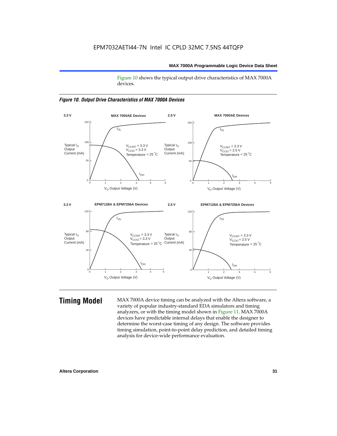Figure 10 shows the typical output drive characteristics of MAX 7000A devices.





**Timing Model** MAX 7000A device timing can be analyzed with the Altera software, a variety of popular industry-standard EDA simulators and timing analyzers, or with the timing model shown in Figure 11. MAX 7000A devices have predictable internal delays that enable the designer to determine the worst-case timing of any design. The software provides timing simulation, point-to-point delay prediction, and detailed timing analysis for device-wide performance evaluation.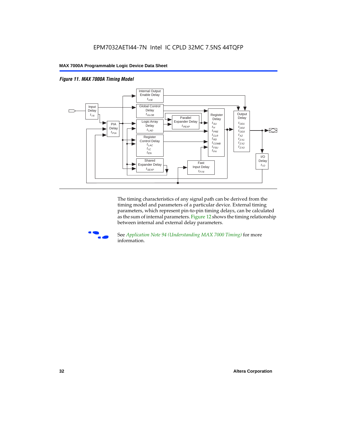



The timing characteristics of any signal path can be derived from the timing model and parameters of a particular device. External timing parameters, which represent pin-to-pin timing delays, can be calculated as the sum of internal parameters. Figure 12 shows the timing relationship between internal and external delay parameters.



f See *Application Note 94 (Understanding MAX 7000 Timing)* for more information.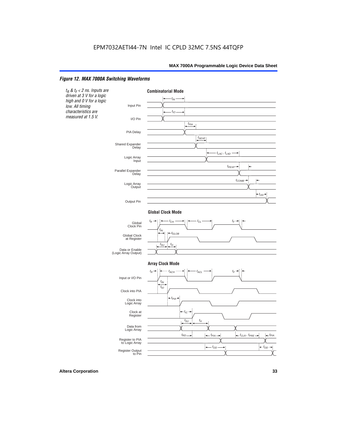#### *Figure 12. MAX 7000A Switching Waveforms*

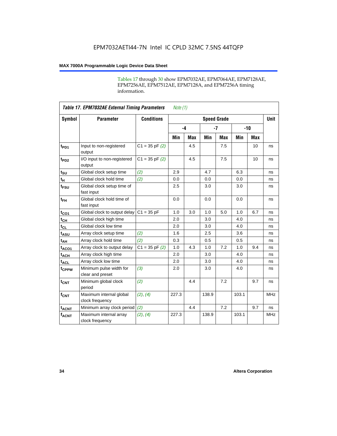Tables 17 through 30 show EPM7032AE, EPM7064AE, EPM7128AE, EPM7256AE, EPM7512AE, EPM7128A, and EPM7256A timing information.

|                         | <b>Table 17. EPM7032AE External Timing Parameters</b><br>Note $(1)$ |                   |       |            |                    |            |       |       |             |
|-------------------------|---------------------------------------------------------------------|-------------------|-------|------------|--------------------|------------|-------|-------|-------------|
| Symbol                  | <b>Parameter</b>                                                    | <b>Conditions</b> |       |            | <b>Speed Grade</b> |            |       |       | <b>Unit</b> |
|                         |                                                                     |                   |       | $-4$       |                    | $-7$       |       | $-10$ |             |
|                         |                                                                     |                   | Min   | <b>Max</b> | Min                | <b>Max</b> | Min   | Max   |             |
| t <sub>PD1</sub>        | Input to non-registered<br>output                                   | $C1 = 35 pF(2)$   |       | 4.5        |                    | 7.5        |       | 10    | ns          |
| $t_{PD2}$               | I/O input to non-registered<br>output                               | $C1 = 35 pF(2)$   |       | 4.5        |                    | 7.5        |       | 10    | ns          |
| $t_{\text{SU}}$         | Global clock setup time                                             | (2)               | 2.9   |            | 4.7                |            | 6.3   |       | ns          |
| $t_H$                   | Global clock hold time                                              | (2)               | 0.0   |            | 0.0                |            | 0.0   |       | ns          |
| t <sub>FSU</sub>        | Global clock setup time of<br>fast input                            |                   | 2.5   |            | 3.0                |            | 3.0   |       | ns          |
| $t_{FH}$                | Global clock hold time of<br>fast input                             |                   | 0.0   |            | 0.0                |            | 0.0   |       | ns          |
| $t_{CO1}$               | Global clock to output delay                                        | $C1 = 35 pF$      | 1.0   | 3.0        | 1.0                | 5.0        | 1.0   | 6.7   | ns          |
| $t_{CH}$                | Global clock high time                                              |                   | 2.0   |            | 3.0                |            | 4.0   |       | ns          |
| $t_{CL}$                | Global clock low time                                               |                   | 2.0   |            | 3.0                |            | 4.0   |       | ns          |
| t <sub>ASU</sub>        | Array clock setup time                                              | (2)               | 1.6   |            | 2.5                |            | 3.6   |       | ns          |
| t <sub>AH</sub>         | Array clock hold time                                               | (2)               | 0.3   |            | 0.5                |            | 0.5   |       | ns          |
| $t_{ACQ1}$              | Array clock to output delay                                         | $C1 = 35 pF(2)$   | 1.0   | 4.3        | 1.0                | 7.2        | 1.0   | 9.4   | ns          |
| $t_{ACH}$               | Array clock high time                                               |                   | 2.0   |            | 3.0                |            | 4.0   |       | ns          |
| $t_{\text{ACL}}$        | Array clock low time                                                |                   | 2.0   |            | 3.0                |            | 4.0   |       | ns          |
| t <sub>CPPW</sub>       | Minimum pulse width for<br>clear and preset                         | (3)               | 2.0   |            | 3.0                |            | 4.0   |       | ns          |
| $t_{\text{CNT}}$        | Minimum global clock<br>period                                      | (2)               |       | 4.4        |                    | 7.2        |       | 9.7   | ns          |
| $f_{CNT}$               | Maximum internal global<br>clock frequency                          | (2), (4)          | 227.3 |            | 138.9              |            | 103.1 |       | <b>MHz</b>  |
| <b>t<sub>ACNT</sub></b> | Minimum array clock period                                          | (2)               |       | 4.4        |                    | 7.2        |       | 9.7   | ns          |
| <b>fACNT</b>            | Maximum internal array<br>clock frequency                           | (2), (4)          | 227.3 |            | 138.9              |            | 103.1 |       | <b>MHz</b>  |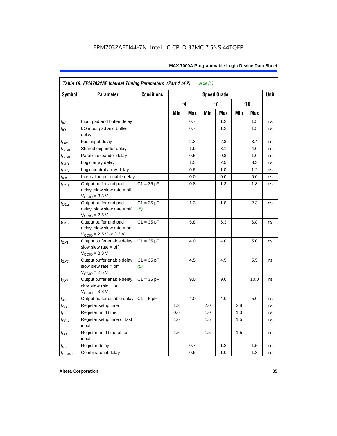|                   | Table 18. EPM7032AE Internal Timing Parameters (Part 1 of 2)<br>Note $(1)$                                   |                     |     |      |     |                    |     |       |             |  |  |
|-------------------|--------------------------------------------------------------------------------------------------------------|---------------------|-----|------|-----|--------------------|-----|-------|-------------|--|--|
| <b>Symbol</b>     | <b>Parameter</b>                                                                                             | <b>Conditions</b>   |     |      |     | <b>Speed Grade</b> |     |       | <b>Unit</b> |  |  |
|                   |                                                                                                              |                     |     | $-4$ |     | -7                 |     | $-10$ |             |  |  |
|                   |                                                                                                              |                     | Min | Max  | Min | Max                | Min | Max   |             |  |  |
| $t_{IN}$          | Input pad and buffer delay                                                                                   |                     |     | 0.7  |     | 1.2                |     | 1.5   | ns          |  |  |
| $t_{IO}$          | I/O input pad and buffer<br>delay                                                                            |                     |     | 0.7  |     | 1.2                |     | 1.5   | ns          |  |  |
| $t_{FIN}$         | Fast input delay                                                                                             |                     |     | 2.3  |     | 2.8                |     | 3.4   | ns          |  |  |
| $t_{SEXP}$        | Shared expander delay                                                                                        |                     |     | 1.9  |     | 3.1                |     | 4.0   | ns          |  |  |
| t <sub>PEXP</sub> | Parallel expander delay                                                                                      |                     |     | 0.5  |     | 0.8                |     | 1.0   | ns          |  |  |
| $t_{LAD}$         | Logic array delay                                                                                            |                     |     | 1.5  |     | 2.5                |     | 3.3   | ns          |  |  |
| $t_{LAC}$         | Logic control array delay                                                                                    |                     |     | 0.6  |     | 1.0                |     | 1.2   | ns          |  |  |
| $t_{IOE}$         | Internal output enable delay                                                                                 |                     |     | 0.0  |     | 0.0                |     | 0.0   | ns          |  |  |
| $t_{OD1}$         | Output buffer and pad<br>delay, slow slew rate $=$ off<br>$V_{\text{CCIO}} = 3.3 \text{ V}$                  | $C1 = 35 pF$        |     | 0.8  |     | 1.3                |     | 1.8   | ns          |  |  |
| $t_{OD2}$         | Output buffer and pad<br>delay, slow slew rate $=$ off<br>$V_{\text{CCIO}}$ = 2.5 V                          | $C1 = 35 pF$<br>(5) |     | 1.3  |     | 1.8                |     | 2.3   | ns          |  |  |
| $t_{OD3}$         | Output buffer and pad<br>delay, slow slew rate $=$ on<br>$V_{\text{CCIO}} = 2.5 \text{ V or } 3.3 \text{ V}$ | $C1 = 35 pF$        |     | 5.8  |     | 6.3                |     | 6.8   | ns          |  |  |
| $t_{ZX1}$         | Output buffer enable delay,<br>slow slew rate $=$ off<br>$V_{\text{CCIO}} = 3.3 \text{ V}$                   | $C1 = 35 pF$        |     | 4.0  |     | 4.0                |     | 5.0   | ns          |  |  |
| t <sub>ZX2</sub>  | Output buffer enable delay,<br>slow slew rate $=$ off<br>$V_{\text{CCIO}}$ = 2.5 V                           | $C1 = 35 pF$<br>(5) |     | 4.5  |     | 4.5                |     | 5.5   | ns          |  |  |
| $t_{ZX3}$         | Output buffer enable delay,<br>slow slew rate $=$ on<br>$V_{\text{CCIO}} = 3.3 \text{ V}$                    | $C1 = 35 pF$        |     | 9.0  |     | 9.0                |     | 10.0  | ns          |  |  |
| $t_{XZ}$          | Output buffer disable delay                                                                                  | $C1 = 5pF$          |     | 4.0  |     | 4.0                |     | 5.0   | ns          |  |  |
| $t_{\text{SU}}$   | Register setup time                                                                                          |                     | 1.3 |      | 2.0 |                    | 2.8 |       | ns          |  |  |
| $t_H$             | Register hold time                                                                                           |                     | 0.6 |      | 1.0 |                    | 1.3 |       | ns          |  |  |
| $t_{FSU}$         | Register setup time of fast<br>input                                                                         |                     | 1.0 |      | 1.5 |                    | 1.5 |       | ns          |  |  |
| $t_{FH}$          | Register hold time of fast<br>input                                                                          |                     | 1.5 |      | 1.5 |                    | 1.5 |       | ns          |  |  |
| $t_{RD}$          | Register delay                                                                                               |                     |     | 0.7  |     | 1.2                |     | 1.5   | ns          |  |  |
| $t_{COMB}$        | Combinatorial delay                                                                                          |                     |     | 0.6  |     | 1.0                |     | 1.3   | ns          |  |  |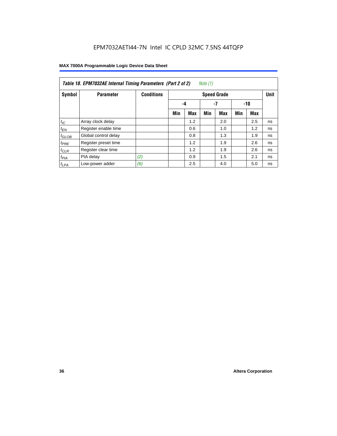|                  | Table 18. EPM7032AE Internal Timing Parameters (Part 2 of 2)<br>Note (1) |                   |                    |     |     |     |     |     |    |  |
|------------------|--------------------------------------------------------------------------|-------------------|--------------------|-----|-----|-----|-----|-----|----|--|
| Symbol           | <b>Parameter</b>                                                         | <b>Conditions</b> | <b>Speed Grade</b> |     |     |     |     |     |    |  |
|                  |                                                                          |                   |                    | -4  |     | -7  |     | -10 |    |  |
|                  |                                                                          |                   | Min                | Max | Min | Max | Min | Max |    |  |
| $t_{IC}$         | Array clock delay                                                        |                   |                    | 1.2 |     | 2.0 |     | 2.5 | ns |  |
| $t_{EN}$         | Register enable time                                                     |                   |                    | 0.6 |     | 1.0 |     | 1.2 | ns |  |
| $t_{GLOB}$       | Global control delay                                                     |                   |                    | 0.8 |     | 1.3 |     | 1.9 | ns |  |
| $t_{PRE}$        | Register preset time                                                     |                   |                    | 1.2 |     | 1.9 |     | 2.6 | ns |  |
| $t_{CLR}$        | Register clear time                                                      |                   |                    | 1.2 |     | 1.9 |     | 2.6 | ns |  |
| t <sub>PIA</sub> | PIA delay                                                                | (2)               |                    | 0.9 |     | 1.5 |     | 2.1 | ns |  |
| $t_{LPA}$        | Low-power adder                                                          | (6)               |                    | 2.5 |     | 4.0 |     | 5.0 | ns |  |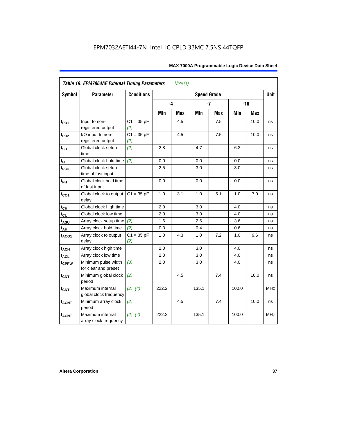| <b>Symbol</b>               | <b>Parameter</b>                            | <b>Conditions</b>   |       |     | <b>Speed Grade</b> |            |       |            | <b>Unit</b> |
|-----------------------------|---------------------------------------------|---------------------|-------|-----|--------------------|------------|-------|------------|-------------|
|                             |                                             |                     | $-4$  |     |                    | $-7$       |       | $-10$      |             |
|                             |                                             |                     | Min   | Max | Min                | <b>Max</b> | Min   | <b>Max</b> |             |
| t <sub>PD1</sub>            | Input to non-<br>registered output          | $C1 = 35 pF$<br>(2) |       | 4.5 |                    | 7.5        |       | 10.0       | ns          |
| t <sub>PD2</sub>            | I/O input to non-<br>registered output      | $C1 = 35 pF$<br>(2) |       | 4.5 |                    | 7.5        |       | 10.0       | ns          |
| $t_{\scriptstyle\text{SU}}$ | Global clock setup<br>time                  | (2)                 | 2.8   |     | 4.7                |            | 6.2   |            | ns          |
| $t_H$                       | Global clock hold time                      | (2)                 | 0.0   |     | 0.0                |            | 0.0   |            | ns          |
| t <sub>FSU</sub>            | Global clock setup<br>time of fast input    |                     | 2.5   |     | 3.0                |            | 3.0   |            | ns          |
| $t_{FH}$                    | Global clock hold time<br>of fast input     |                     | 0.0   |     | 0.0                |            | 0.0   |            | ns          |
| $t_{CO1}$                   | Global clock to output<br>delay             | $C1 = 35 pF$        | 1.0   | 3.1 | 1.0                | 5.1        | 1.0   | 7.0        | ns          |
| $t_{CH}$                    | Global clock high time                      |                     | 2.0   |     | 3.0                |            | 4.0   |            | ns          |
| $t_{CL}$                    | Global clock low time                       |                     | 2.0   |     | 3.0                |            | 4.0   |            | ns          |
| t <sub>ASU</sub>            | Array clock setup time                      | (2)                 | 1.6   |     | 2.6                |            | 3.6   |            | ns          |
| $t_{AH}$                    | Array clock hold time                       | (2)                 | 0.3   |     | 0.4                |            | 0.6   |            | ns          |
| t <sub>ACO1</sub>           | Array clock to output<br>delay              | $C1 = 35 pF$<br>(2) | 1.0   | 4.3 | 1.0                | 7.2        | 1.0   | 9.6        | ns          |
| $t_{ACH}$                   | Array clock high time                       |                     | 2.0   |     | 3.0                |            | 4.0   |            | ns          |
| t <sub>ACL</sub>            | Array clock low time                        |                     | 2.0   |     | 3.0                |            | 4.0   |            | ns          |
| t <sub>CPPW</sub>           | Minimum pulse width<br>for clear and preset | (3)                 | 2.0   |     | 3.0                |            | 4.0   |            | ns          |
| $t_{\text{CNT}}$            | Minimum global clock<br>period              | (2)                 |       | 4.5 |                    | 7.4        |       | 10.0       | ns          |
| $f_{CNT}$                   | Maximum internal<br>global clock frequency  | (2), (4)            | 222.2 |     | 135.1              |            | 100.0 |            | <b>MHz</b>  |
| $t_{ACNT}$                  | Minimum array clock<br>period               | (2)                 |       | 4.5 |                    | 7.4        |       | 10.0       | ns          |
| <b>fACNT</b>                | Maximum internal<br>array clock frequency   | (2), (4)            | 222.2 |     | 135.1              |            | 100.0 |            | <b>MHz</b>  |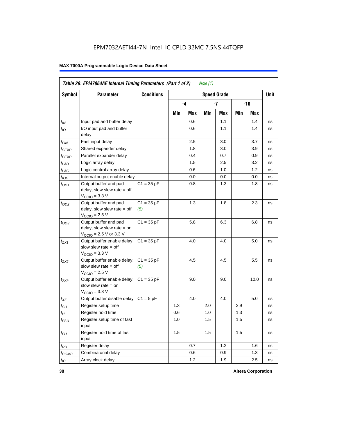|                   | Table 20. EPM7064AE Internal Timing Parameters (Part 1 of 2)                                |                     |     |      | Note $(1)$ |                    |     |       |             |
|-------------------|---------------------------------------------------------------------------------------------|---------------------|-----|------|------------|--------------------|-----|-------|-------------|
| <b>Symbol</b>     | <b>Parameter</b>                                                                            | <b>Conditions</b>   |     |      |            | <b>Speed Grade</b> |     |       | <b>Unit</b> |
|                   |                                                                                             |                     |     | $-4$ |            | -7                 |     | $-10$ |             |
|                   |                                                                                             |                     | Min | Max  | Min        | Max                | Min | Max   |             |
| $t_{IN}$          | Input pad and buffer delay                                                                  |                     |     | 0.6  |            | 1.1                |     | 1.4   | ns          |
| $t_{IO}$          | I/O input pad and buffer<br>delay                                                           |                     |     | 0.6  |            | 1.1                |     | 1.4   | ns          |
| t <sub>FIN</sub>  | Fast input delay                                                                            |                     |     | 2.5  |            | 3.0                |     | 3.7   | ns          |
| t <sub>SEXP</sub> | Shared expander delay                                                                       |                     |     | 1.8  |            | 3.0                |     | 3.9   | ns          |
| t <sub>PEXP</sub> | Parallel expander delay                                                                     |                     |     | 0.4  |            | 0.7                |     | 0.9   | ns          |
| $t_{LAD}$         | Logic array delay                                                                           |                     |     | 1.5  |            | 2.5                |     | 3.2   | ns          |
| $t_{LAC}$         | Logic control array delay                                                                   |                     |     | 0.6  |            | 1.0                |     | 1.2   | ns          |
| $t_{IOE}$         | Internal output enable delay                                                                |                     |     | 0.0  |            | 0.0                |     | 0.0   | ns          |
| $t_{OD1}$         | Output buffer and pad<br>delay, slow slew rate $=$ off<br>$VCCIO = 3.3 V$                   | $C1 = 35 pF$        |     | 0.8  |            | 1.3                |     | 1.8   | ns          |
| $t_{OD2}$         | Output buffer and pad<br>delay, slow slew rate $=$ off<br>$V_{\text{CCIO}} = 2.5 V$         | $C1 = 35 pF$<br>(5) |     | 1.3  |            | 1.8                |     | 2.3   | ns          |
| $t_{OD3}$         | Output buffer and pad<br>delay, slow slew rate $=$ on<br>$V_{\text{CCIO}}$ = 2.5 V or 3.3 V | $C1 = 35 pF$        |     | 5.8  |            | 6.3                |     | 6.8   | ns          |
| $t_{ZX1}$         | Output buffer enable delay,<br>slow slew rate $=$ off<br>$VCCIO = 3.3 V$                    | $C1 = 35 pF$        |     | 4.0  |            | 4.0                |     | 5.0   | ns          |
| $t_{ZX2}$         | Output buffer enable delay,<br>slow slew rate $=$ off<br>$V_{\text{CCIO}}$ = 2.5 V          | $C1 = 35 pF$<br>(5) |     | 4.5  |            | 4.5                |     | 5.5   | ns          |
| $t_{ZX3}$         | Output buffer enable delay,<br>slow slew rate $=$ on<br>$VCCIO = 3.3 V$                     | $C1 = 35 pF$        |     | 9.0  |            | 9.0                |     | 10.0  | ns          |
| $t_{XZ}$          | Output buffer disable delay                                                                 | $C1 = 5pF$          |     | 4.0  |            | 4.0                |     | 5.0   | ns          |
| $t_{\text{SU}}$   | Register setup time                                                                         |                     | 1.3 |      | 2.0        |                    | 2.9 |       | ns          |
| $t_H$             | Register hold time                                                                          |                     | 0.6 |      | 1.0        |                    | 1.3 |       | ns          |
| $t_{FSU}$         | Register setup time of fast<br>input                                                        |                     | 1.0 |      | 1.5        |                    | 1.5 |       | ns          |
| $t_{FH}$          | Register hold time of fast<br>input                                                         |                     | 1.5 |      | 1.5        |                    | 1.5 |       | ns          |
| $t_{RD}$          | Register delay                                                                              |                     |     | 0.7  |            | 1.2                |     | 1.6   | ns          |
| $t_{COMB}$        | Combinatorial delay                                                                         |                     |     | 0.6  |            | 0.9                |     | 1.3   | ns          |
| $t_{IC}$          | Array clock delay                                                                           |                     |     | 1.2  |            | 1.9                |     | 2.5   | ns          |

**38 Altera Corporation**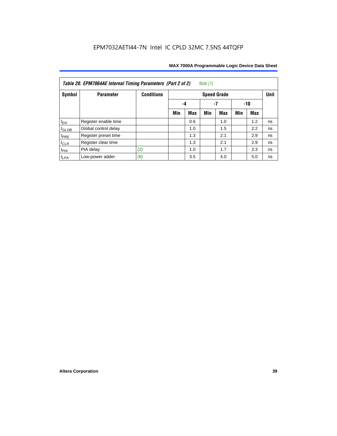| Note $(1)$<br>Table 20. EPM7064AE Internal Timing Parameters (Part 2 of 2) |                      |                   |     |                 |     |                    |     |     |             |  |  |  |  |
|----------------------------------------------------------------------------|----------------------|-------------------|-----|-----------------|-----|--------------------|-----|-----|-------------|--|--|--|--|
| Symbol                                                                     | <b>Parameter</b>     | <b>Conditions</b> |     |                 |     | <b>Speed Grade</b> |     |     | <b>Unit</b> |  |  |  |  |
|                                                                            |                      |                   |     | -7<br>-10<br>-4 |     |                    |     |     |             |  |  |  |  |
|                                                                            |                      |                   | Min | <b>Max</b>      | Min | <b>Max</b>         | Min | Max |             |  |  |  |  |
| $t_{EN}$                                                                   | Register enable time |                   |     | 0.6             |     | 1.0                |     | 1.2 | ns          |  |  |  |  |
| $t_{\text{GLOB}}$                                                          | Global control delay |                   |     | 1.0             |     | 1.5                |     | 2.2 | ns          |  |  |  |  |
| $t_{PRE}$                                                                  | Register preset time |                   |     | 1.3             |     | 2.1                |     | 2.9 | ns          |  |  |  |  |
| $t_{CLR}$                                                                  | Register clear time  |                   |     | 1.3             |     | 2.1                |     | 2.9 | ns          |  |  |  |  |
| $t_{PIA}$                                                                  | PIA delay            | (2)               |     | 1.0             |     | 1.7                |     | 2.3 | ns          |  |  |  |  |
| $t_{LPA}$                                                                  | Low-power adder      | (6)               |     | 3.5             |     | 4.0                |     | 5.0 | ns          |  |  |  |  |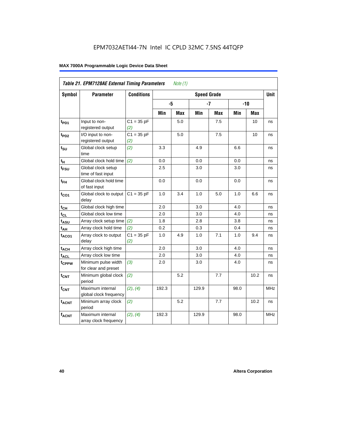|                   | Table 21. EPM7128AE External Timing Parameters |                     |       | Note $(1)$ |                    |            |            |            |            |
|-------------------|------------------------------------------------|---------------------|-------|------------|--------------------|------------|------------|------------|------------|
| <b>Symbol</b>     | <b>Parameter</b>                               | <b>Conditions</b>   |       |            | <b>Speed Grade</b> |            |            |            | Unit       |
|                   |                                                |                     | -5    |            |                    | $-7$       |            | $-10$      |            |
|                   |                                                |                     | Min   | <b>Max</b> | Min                | <b>Max</b> | <b>Min</b> | <b>Max</b> |            |
| $t_{PD1}$         | Input to non-<br>registered output             | $C1 = 35 pF$<br>(2) |       | 5.0        |                    | 7.5        |            | 10         | ns         |
| t <sub>PD2</sub>  | I/O input to non-<br>registered output         | $C1 = 35 pF$<br>(2) |       | 5.0        |                    | 7.5        |            | 10         | ns         |
| $t_{\text{SU}}$   | Global clock setup<br>time                     | (2)                 | 3.3   |            | 4.9                |            | 6.6        |            | ns         |
| $t_H$             | Global clock hold time                         | (2)                 | 0.0   |            | 0.0                |            | 0.0        |            | ns         |
| t <sub>FSU</sub>  | Global clock setup<br>time of fast input       |                     | 2.5   |            | 3.0                |            | 3.0        |            | ns         |
| $t_{FH}$          | Global clock hold time<br>of fast input        |                     | 0.0   |            | 0.0                |            | 0.0        |            | ns         |
| $t_{CO1}$         | Global clock to output<br>delay                | $C1 = 35 pF$        | 1.0   | 3.4        | 1.0                | 5.0        | 1.0        | 6.6        | ns         |
| $t_{CH}$          | Global clock high time                         |                     | 2.0   |            | 3.0                |            | 4.0        |            | ns         |
| $t_{CL}$          | Global clock low time                          |                     | 2.0   |            | 3.0                |            | 4.0        |            | ns         |
| $t_{ASU}$         | Array clock setup time                         | (2)                 | 1.8   |            | 2.8                |            | 3.8        |            | ns         |
| $t_{AH}$          | Array clock hold time                          | (2)                 | 0.2   |            | 0.3                |            | 0.4        |            | ns         |
| t <sub>ACO1</sub> | Array clock to output<br>delay                 | $C1 = 35 pF$<br>(2) | 1.0   | 4.9        | 1.0                | 7.1        | 1.0        | 9.4        | ns         |
| $t_{ACH}$         | Array clock high time                          |                     | 2.0   |            | 3.0                |            | 4.0        |            | ns         |
| $t_{\text{ACL}}$  | Array clock low time                           |                     | 2.0   |            | 3.0                |            | 4.0        |            | ns         |
| tcppw             | Minimum pulse width<br>for clear and preset    | (3)                 | 2.0   |            | 3.0                |            | 4.0        |            | ns         |
| $t_{\text{CNT}}$  | Minimum global clock<br>period                 | (2)                 |       | 5.2        |                    | 7.7        |            | 10.2       | ns         |
| $f_{CNT}$         | Maximum internal<br>global clock frequency     | (2), (4)            | 192.3 |            | 129.9              |            | 98.0       |            | <b>MHz</b> |
| $t_{ACNT}$        | Minimum array clock<br>period                  | (2)                 |       | 5.2        |                    | 7.7        |            | 10.2       | ns         |
| <b>fACNT</b>      | Maximum internal<br>array clock frequency      | (2), (4)            | 192.3 |            | 129.9              |            | 98.0       |            | <b>MHz</b> |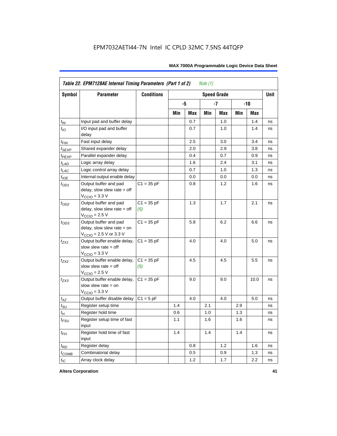|                    | Table 22. EPM7128AE Internal Timing Parameters (Part 1 of 2)                                                 |                     |     |     | Note $(1)$ |                    |     |            |             |
|--------------------|--------------------------------------------------------------------------------------------------------------|---------------------|-----|-----|------------|--------------------|-----|------------|-------------|
| Symbol             | <b>Parameter</b>                                                                                             | <b>Conditions</b>   |     |     |            | <b>Speed Grade</b> |     |            | <b>Unit</b> |
|                    |                                                                                                              |                     |     | -5  |            | $-7$               |     | $-10$      |             |
|                    |                                                                                                              |                     | Min | Max | Min        | Max                | Min | <b>Max</b> |             |
| $t_{IN}$           | Input pad and buffer delay                                                                                   |                     |     | 0.7 |            | 1.0                |     | 1.4        | ns          |
| $t_{IO}$           | I/O input pad and buffer<br>delay                                                                            |                     |     | 0.7 |            | 1.0                |     | 1.4        | ns          |
| $t_{FIN}$          | Fast input delay                                                                                             |                     |     | 2.5 |            | 3.0                |     | 3.4        | ns          |
| $t_{SEXP}$         | Shared expander delay                                                                                        |                     |     | 2.0 |            | 2.9                |     | 3.8        | ns          |
| t <sub>PEXP</sub>  | Parallel expander delay                                                                                      |                     |     | 0.4 |            | 0.7                |     | 0.9        | ns          |
| $t_{LAD}$          | Logic array delay                                                                                            |                     |     | 1.6 |            | 2.4                |     | 3.1        | ns          |
| $t_{LAC}$          | Logic control array delay                                                                                    |                     |     | 0.7 |            | 1.0                |     | 1.3        | ns          |
| $t_{IOE}$          | Internal output enable delay                                                                                 |                     |     | 0.0 |            | 0.0                |     | 0.0        | ns          |
| $t_{OD1}$          | Output buffer and pad<br>delay, slow slew rate = off<br>$VCCIO$ = 3.3 V                                      | $C1 = 35 pF$        |     | 0.8 |            | 1.2                |     | 1.6        | ns          |
| $t_{OD2}$          | Output buffer and pad<br>delay, slow slew rate $=$ off<br>$VCCIO = 2.5 V$                                    | $C1 = 35 pF$<br>(5) |     | 1.3 |            | 1.7                |     | 2.1        | ns          |
| $t_{OD3}$          | Output buffer and pad<br>delay, slow slew rate $=$ on<br>$V_{\text{CCIO}} = 2.5 \text{ V or } 3.3 \text{ V}$ | $C1 = 35 pF$        |     | 5.8 |            | 6.2                |     | 6.6        | ns          |
| $t_{ZX1}$          | Output buffer enable delay,<br>slow slew rate = off<br>$VCCIO = 3.3 V$                                       | $C1 = 35 pF$        |     | 4.0 |            | 4.0                |     | 5.0        | ns          |
| $t_{ZX2}$          | Output buffer enable delay,<br>slow slew rate $=$ off<br>$VCCIO = 2.5 V$                                     | $C1 = 35 pF$<br>(5) |     | 4.5 |            | 4.5                |     | 5.5        | ns          |
| $t_{ZX3}$          | Output buffer enable delay,<br>slow slew rate = on<br>$V_{\text{CCIO}} = 3.3 \text{ V}$                      | $C1 = 35 pF$        |     | 9.0 |            | 9.0                |     | 10.0       | ns          |
| $t_{XZ}$           | Output buffer disable delay                                                                                  | $C1 = 5pF$          |     | 4.0 |            | 4.0                |     | 5.0        | ns          |
| $t_{\text{SU}}$    | Register setup time                                                                                          |                     | 1.4 |     | 2.1        |                    | 2.9 |            | ns          |
| $t_{\mathcal{H}}$  | Register hold time                                                                                           |                     | 0.6 |     | 1.0        |                    | 1.3 |            | ns          |
| $t_{\mathit{FSU}}$ | Register setup time of fast<br>input                                                                         |                     | 1.1 |     | 1.6        |                    | 1.6 |            | ns          |
| $t_{FH}$           | Register hold time of fast<br>input                                                                          |                     | 1.4 |     | 1.4        |                    | 1.4 |            | ns          |
| $t_{RD}$           | Register delay                                                                                               |                     |     | 0.8 |            | 1.2                |     | 1.6        | ns          |
| $t_{COMB}$         | Combinatorial delay                                                                                          |                     |     | 0.5 |            | 0.9                |     | 1.3        | ns          |
| $t_{IC}$           | Array clock delay                                                                                            |                     |     | 1.2 |            | 1.7                |     | 2.2        | ns          |

**Altera Corporation 41**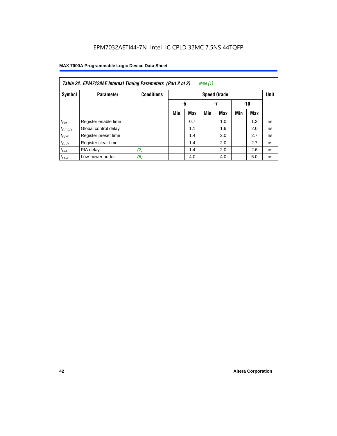| Note $(1)$<br>Table 22. EPM7128AE Internal Timing Parameters (Part 2 of 2) |                      |                   |     |                 |     |                    |     |     |             |  |  |  |
|----------------------------------------------------------------------------|----------------------|-------------------|-----|-----------------|-----|--------------------|-----|-----|-------------|--|--|--|
| Symbol                                                                     | <b>Parameter</b>     | <b>Conditions</b> |     |                 |     | <b>Speed Grade</b> |     |     | <b>Unit</b> |  |  |  |
|                                                                            |                      |                   |     | -5<br>-7<br>-10 |     |                    |     |     |             |  |  |  |
|                                                                            |                      |                   | Min | <b>Max</b>      | Min | <b>Max</b>         | Min | Max |             |  |  |  |
| $t_{EN}$                                                                   | Register enable time |                   |     | 0.7             |     | 1.0                |     | 1.3 | ns          |  |  |  |
| $t_{\text{GLOB}}$                                                          | Global control delay |                   |     | 1.1             |     | 1.6                |     | 2.0 | ns          |  |  |  |
| $t_{PRE}$                                                                  | Register preset time |                   |     | 1.4             |     | 2.0                |     | 2.7 | ns          |  |  |  |
| $t_{CLR}$                                                                  | Register clear time  |                   |     | 1.4             |     | 2.0                |     | 2.7 | ns          |  |  |  |
| $t_{PIA}$                                                                  | PIA delay            | (2)               |     | 1.4             |     | 2.0                |     | 2.6 | ns          |  |  |  |
| $t_{LPA}$                                                                  | Low-power adder      | (6)               |     | 4.0             |     | 4.0                |     | 5.0 | ns          |  |  |  |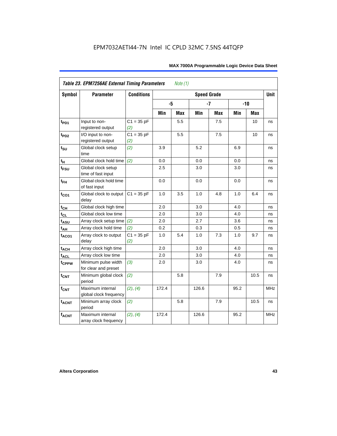| <b>Symbol</b>     | <b>Parameter</b>                            | <b>Conditions</b>   |       |     | <b>Speed Grade</b> |            |      |            | <b>Unit</b> |
|-------------------|---------------------------------------------|---------------------|-------|-----|--------------------|------------|------|------------|-------------|
|                   |                                             |                     | -5    |     |                    | $-7$       |      | $-10$      |             |
|                   |                                             |                     | Min   | Max | Min                | <b>Max</b> | Min  | <b>Max</b> |             |
| $t_{PD1}$         | Input to non-<br>registered output          | $C1 = 35 pF$<br>(2) |       | 5.5 |                    | 7.5        |      | 10         | ns          |
| t <sub>PD2</sub>  | I/O input to non-<br>registered output      | $C1 = 35 pF$<br>(2) |       | 5.5 |                    | 7.5        |      | 10         | ns          |
| $t_{\text{SU}}$   | Global clock setup<br>time                  | (2)                 | 3.9   |     | 5.2                |            | 6.9  |            | ns          |
| t <sub>H</sub>    | Global clock hold time                      | (2)                 | 0.0   |     | $0.0\,$            |            | 0.0  |            | ns          |
| $t_{FSU}$         | Global clock setup<br>time of fast input    |                     | 2.5   |     | 3.0                |            | 3.0  |            | ns          |
| $t_{FH}$          | Global clock hold time<br>of fast input     |                     | 0.0   |     | 0.0                |            | 0.0  |            | ns          |
| $t_{CO1}$         | Global clock to output<br>delay             | $C1 = 35 pF$        | 1.0   | 3.5 | 1.0                | 4.8        | 1.0  | 6.4        | ns          |
| $t_{CH}$          | Global clock high time                      |                     | 2.0   |     | 3.0                |            | 4.0  |            | ns          |
| $t_{CL}$          | Global clock low time                       |                     | 2.0   |     | 3.0                |            | 4.0  |            | ns          |
| t <sub>ASU</sub>  | Array clock setup time                      | (2)                 | 2.0   |     | 2.7                |            | 3.6  |            | ns          |
| $t_{AH}$          | Array clock hold time                       | (2)                 | 0.2   |     | 0.3                |            | 0.5  |            | ns          |
| t <sub>ACO1</sub> | Array clock to output<br>delay              | $C1 = 35 pF$<br>(2) | 1.0   | 5.4 | 1.0                | 7.3        | 1.0  | 9.7        | ns          |
| $t_{ACH}$         | Array clock high time                       |                     | 2.0   |     | 3.0                |            | 4.0  |            | ns          |
| t <sub>ACL</sub>  | Array clock low time                        |                     | 2.0   |     | 3.0                |            | 4.0  |            | ns          |
| tcPPW             | Minimum pulse width<br>for clear and preset | (3)                 | 2.0   |     | 3.0                |            | 4.0  |            | ns          |
| $t_{\text{CNT}}$  | Minimum global clock<br>period              | (2)                 |       | 5.8 |                    | 7.9        |      | 10.5       | ns          |
| $f_{CNT}$         | Maximum internal<br>global clock frequency  | (2), (4)            | 172.4 |     | 126.6              |            | 95.2 |            | <b>MHz</b>  |
| $t_{ACNT}$        | Minimum array clock<br>period               | (2)                 |       | 5.8 |                    | 7.9        |      | 10.5       | ns          |
| <b>fACNT</b>      | Maximum internal<br>array clock frequency   | (2), (4)            | 172.4 |     | 126.6              |            | 95.2 |            | <b>MHz</b>  |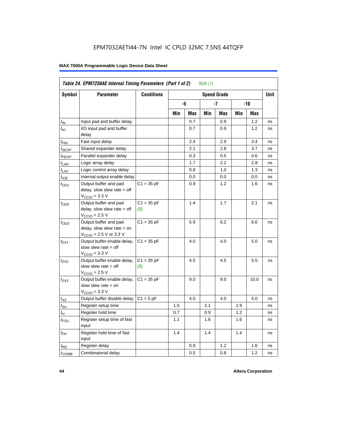|                             |                                                                                                              | <b>Conditions</b>   |     |     |     |                    |     |      |             |
|-----------------------------|--------------------------------------------------------------------------------------------------------------|---------------------|-----|-----|-----|--------------------|-----|------|-------------|
| Symbol                      | <b>Parameter</b>                                                                                             |                     |     |     |     | <b>Speed Grade</b> |     |      | <b>Unit</b> |
|                             |                                                                                                              |                     |     | -5  |     | -7                 |     | -10  |             |
|                             |                                                                                                              |                     | Min | Max | Min | Max                | Min | Max  |             |
| $t_{IN}$                    | Input pad and buffer delay                                                                                   |                     |     | 0.7 |     | 0.9                |     | 1.2  | ns          |
| $t_{IO}$                    | I/O input pad and buffer<br>delay                                                                            |                     |     | 0.7 |     | 0.9                |     | 1.2  | ns          |
| t <sub>FIN</sub>            | Fast input delay                                                                                             |                     |     | 2.4 |     | 2.9                |     | 3.4  | ns          |
| t <sub>SEXP</sub>           | Shared expander delay                                                                                        |                     |     | 2.1 |     | 2.8                |     | 3.7  | ns          |
| t <sub>PEXP</sub>           | Parallel expander delay                                                                                      |                     |     | 0.3 |     | 0.5                |     | 0.6  | ns          |
| $t_{LAD}$                   | Logic array delay                                                                                            |                     |     | 1.7 |     | 2.2                |     | 2.8  | ns          |
| $t_{LAC}$                   | Logic control array delay                                                                                    |                     |     | 0.8 |     | 1.0                |     | 1.3  | ns          |
| $t_{IOE}$                   | Internal output enable delay                                                                                 |                     |     | 0.0 |     | 0.0                |     | 0.0  | ns          |
| $t_{OD1}$                   | Output buffer and pad<br>delay, slow slew rate $=$ off<br>$V_{\text{CCIO}} = 3.3 \text{ V}$                  | $C1 = 35 pF$        |     | 0.9 |     | 1.2                |     | 1.6  | ns          |
| $t_{OD2}$                   | Output buffer and pad<br>delay, slow slew rate $=$ off<br>$V_{\text{CCIO}} = 2.5 V$                          | $C1 = 35 pF$<br>(5) |     | 1.4 |     | 1.7                |     | 2.1  | ns          |
| $t_{OD3}$                   | Output buffer and pad<br>delay, slow slew rate $=$ on<br>$V_{\text{CCIO}} = 2.5 \text{ V or } 3.3 \text{ V}$ | $C1 = 35 pF$        |     | 5.9 |     | 6.2                |     | 6.6  | ns          |
| $t_{ZX1}$                   | Output buffer enable delay,<br>slow slew rate $=$ off<br>$V_{\text{CCIO}} = 3.3 \text{ V}$                   | $C1 = 35 pF$        |     | 4.0 |     | 4.0                |     | 5.0  | ns          |
| t <sub>ZX2</sub>            | Output buffer enable delay,<br>slow slew rate $=$ off<br>$V_{\text{CCIO}} = 2.5 V$                           | $C1 = 35 pF$<br>(5) |     | 4.5 |     | 4.5                |     | 5.5  | ns          |
| t <sub>ZX3</sub>            | Output buffer enable delay,<br>slow slew rate $=$ on<br>$VCCIO = 3.3 V$                                      | $C1 = 35 pF$        |     | 9.0 |     | 9.0                |     | 10.0 | ns          |
| $t_{XZ}$                    | Output buffer disable delay                                                                                  | $C1 = 5pF$          |     | 4.0 |     | 4.0                |     | 5.0  | ns          |
| $t_{\scriptstyle\text{SU}}$ | Register setup time                                                                                          |                     | 1.5 |     | 2.1 |                    | 2.9 |      | ns          |
| $t_{\mathcal{H}}$           | Register hold time                                                                                           |                     | 0.7 |     | 0.9 |                    | 1.2 |      | ns          |
| t <sub>FSU</sub>            | Register setup time of fast<br>input                                                                         |                     | 1.1 |     | 1.6 |                    | 1.6 |      | ns          |
| $t_{FH}$                    | Register hold time of fast<br>input                                                                          |                     | 1.4 |     | 1.4 |                    | 1.4 |      | ns          |
| $t_{RD}$                    | Register delay                                                                                               |                     |     | 0.9 |     | 1.2                |     | 1.6  | ns          |
| $t_{\text{COMB}}$           | Combinatorial delay                                                                                          |                     |     | 0.5 |     | 0.8                |     | 1.2  | ns          |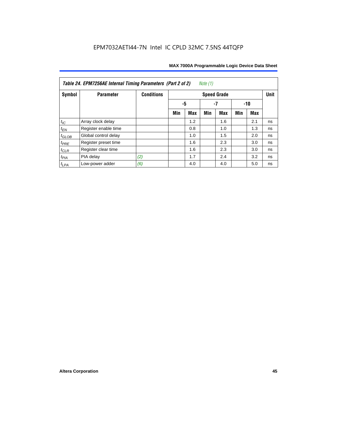| Table 24. EPM7256AE Internal Timing Parameters (Part 2 of 2)<br>Note (1) |                      |                   |     |                 |     |                    |     |     |             |  |  |
|--------------------------------------------------------------------------|----------------------|-------------------|-----|-----------------|-----|--------------------|-----|-----|-------------|--|--|
| Symbol                                                                   | <b>Parameter</b>     | <b>Conditions</b> |     |                 |     | <b>Speed Grade</b> |     |     | <b>Unit</b> |  |  |
|                                                                          |                      |                   |     | -5<br>-7<br>-10 |     |                    |     |     |             |  |  |
|                                                                          |                      |                   | Min | <b>Max</b>      | Min | <b>Max</b>         | Min | Max |             |  |  |
| $t_{\mathit{IC}}$                                                        | Array clock delay    |                   |     | 1.2             |     | 1.6                |     | 2.1 | ns          |  |  |
| $t_{\mathsf{EN}}$                                                        | Register enable time |                   |     | 0.8             |     | 1.0                |     | 1.3 | ns          |  |  |
| $t_{GLOB}$                                                               | Global control delay |                   |     | 1.0             |     | 1.5                |     | 2.0 | ns          |  |  |
| $t_{PRE}$                                                                | Register preset time |                   |     | 1.6             |     | 2.3                |     | 3.0 | ns          |  |  |
| $t_{CLR}$                                                                | Register clear time  |                   |     | 1.6             |     | 2.3                |     | 3.0 | ns          |  |  |
| $t_{PIA}$                                                                | PIA delay            | (2)               |     | 1.7             |     | 2.4                |     | 3.2 | ns          |  |  |
| $t_{LPA}$                                                                | Low-power adder      | (6)               |     | 4.0             |     | 4.0                |     | 5.0 | ns          |  |  |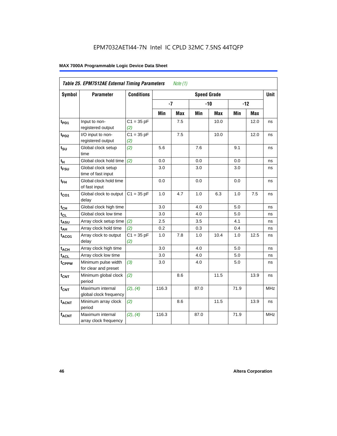|                   | Table 25. EPM7512AE External Timing Parameters |                     |       | Note $(1)$ |                    |            |      |            |             |
|-------------------|------------------------------------------------|---------------------|-------|------------|--------------------|------------|------|------------|-------------|
| Symbol            | <b>Parameter</b>                               | <b>Conditions</b>   |       |            | <b>Speed Grade</b> |            |      |            | <b>Unit</b> |
|                   |                                                |                     | $-7$  |            |                    | $-10$      |      | $-12$      |             |
|                   |                                                |                     | Min   | <b>Max</b> | Min                | <b>Max</b> | Min  | <b>Max</b> |             |
| t <sub>PD1</sub>  | Input to non-<br>registered output             | $C1 = 35 pF$<br>(2) |       | 7.5        |                    | 10.0       |      | 12.0       | ns          |
| t <sub>PD2</sub>  | I/O input to non-<br>registered output         | $C1 = 35 pF$<br>(2) |       | 7.5        |                    | 10.0       |      | 12.0       | ns          |
| $t_{\text{SU}}$   | Global clock setup<br>time                     | (2)                 | 5.6   |            | 7.6                |            | 9.1  |            | ns          |
| tμ                | Global clock hold time                         | (2)                 | 0.0   |            | 0.0                |            | 0.0  |            | ns          |
| t <sub>FSU</sub>  | Global clock setup<br>time of fast input       |                     | 3.0   |            | 3.0                |            | 3.0  |            | ns          |
| $t_{FH}$          | Global clock hold time<br>of fast input        |                     | 0.0   |            | 0.0                |            | 0.0  |            | ns          |
| $t_{CO1}$         | Global clock to output<br>delay                | $C1 = 35 pF$        | 1.0   | 4.7        | 1.0                | 6.3        | 1.0  | 7.5        | ns          |
| $t_{CH}$          | Global clock high time                         |                     | 3.0   |            | 4.0                |            | 5.0  |            | ns          |
| $t_{CL}$          | Global clock low time                          |                     | 3.0   |            | 4.0                |            | 5.0  |            | ns          |
| $t_{ASU}$         | Array clock setup time                         | (2)                 | 2.5   |            | 3.5                |            | 4.1  |            | ns          |
| $t_{AH}$          | Array clock hold time                          | (2)                 | 0.2   |            | 0.3                |            | 0.4  |            | ns          |
| $t_{ACO1}$        | Array clock to output<br>delay                 | $C1 = 35 pF$<br>(2) | 1.0   | 7.8        | 1.0                | 10.4       | 1.0  | 12.5       | ns          |
| $t_{ACH}$         | Array clock high time                          |                     | 3.0   |            | 4.0                |            | 5.0  |            | ns          |
| $t_{\text{ACL}}$  | Array clock low time                           |                     | 3.0   |            | 4.0                |            | 5.0  |            | ns          |
| t <sub>CPPW</sub> | Minimum pulse width<br>for clear and preset    | (3)                 | 3.0   |            | 4.0                |            | 5.0  |            | ns          |
| t <sub>CNT</sub>  | Minimum global clock<br>period                 | (2)                 |       | 8.6        |                    | 11.5       |      | 13.9       | ns          |
| $f_{CNT}$         | Maximum internal<br>global clock frequency     | (2), (4)            | 116.3 |            | 87.0               |            | 71.9 |            | <b>MHz</b>  |
| $t_{ACNT}$        | Minimum array clock<br>period                  | (2)                 |       | 8.6        |                    | 11.5       |      | 13.9       | ns          |
| <b>fACNT</b>      | Maximum internal<br>array clock frequency      | (2), (4)            | 116.3 |            | 87.0               |            | 71.9 |            | <b>MHz</b>  |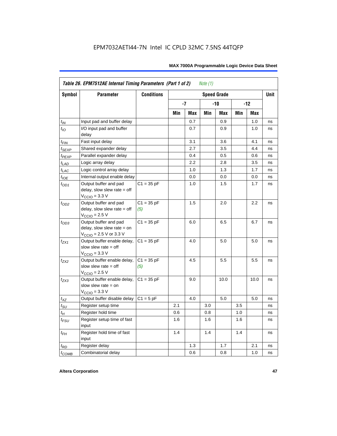|                   | Table 26. EPM7512AE Internal Timing Parameters (Part 1 of 2)                                                 |                     |     |      | Note $(1)$ |                    |     |            |      |
|-------------------|--------------------------------------------------------------------------------------------------------------|---------------------|-----|------|------------|--------------------|-----|------------|------|
| <b>Symbol</b>     | <b>Parameter</b>                                                                                             | <b>Conditions</b>   |     |      |            | <b>Speed Grade</b> |     |            | Unit |
|                   |                                                                                                              |                     |     | $-7$ |            | $-10$              |     | $-12$      |      |
|                   |                                                                                                              |                     | Min | Max  | Min        | Max                | Min | <b>Max</b> |      |
| $t_{IN}$          | Input pad and buffer delay                                                                                   |                     |     | 0.7  |            | 0.9                |     | 1.0        | ns   |
| $t_{IO}$          | I/O input pad and buffer<br>delay                                                                            |                     |     | 0.7  |            | 0.9                |     | 1.0        | ns   |
| $t_{\sf FIN}$     | Fast input delay                                                                                             |                     |     | 3.1  |            | 3.6                |     | 4.1        | ns   |
| t <sub>SEXP</sub> | Shared expander delay                                                                                        |                     |     | 2.7  |            | 3.5                |     | 4.4        | ns   |
| t <sub>PEXP</sub> | Parallel expander delay                                                                                      |                     |     | 0.4  |            | 0.5                |     | 0.6        | ns   |
| $t_{LAD}$         | Logic array delay                                                                                            |                     |     | 2.2  |            | 2.8                |     | 3.5        | ns   |
| $t_{LAC}$         | Logic control array delay                                                                                    |                     |     | 1.0  |            | 1.3                |     | 1.7        | ns   |
| $t_{IOE}$         | Internal output enable delay                                                                                 |                     |     | 0.0  |            | 0.0                |     | 0.0        | ns   |
| $t_{OD1}$         | Output buffer and pad<br>delay, slow slew rate $=$ off<br>$V_{\text{CCIO}} = 3.3 \text{ V}$                  | $C1 = 35 pF$        |     | 1.0  |            | 1.5                |     | 1.7        | ns   |
| $t_{OD2}$         | Output buffer and pad<br>delay, slow slew rate $=$ off<br>$VCCIO = 2.5 V$                                    | $C1 = 35 pF$<br>(5) |     | 1.5  |            | 2.0                |     | 2.2        | ns   |
| $t_{OD3}$         | Output buffer and pad<br>delay, slow slew rate $=$ on<br>$V_{\text{CCIO}} = 2.5 \text{ V or } 3.3 \text{ V}$ | $C1 = 35 pF$        |     | 6.0  |            | 6.5                |     | 6.7        | ns   |
| $t_{ZX1}$         | Output buffer enable delay,<br>slow slew rate $=$ off<br>$V_{\text{CCIO}} = 3.3 \text{ V}$                   | $C1 = 35 pF$        |     | 4.0  |            | $5.0$              |     | 5.0        | ns   |
| $t_{ZX2}$         | Output buffer enable delay,<br>slow slew rate $=$ off<br>$V_{\text{CCIO}}$ = 2.5 V                           | $C1 = 35 pF$<br>(5) |     | 4.5  |            | 5.5                |     | 5.5        | ns   |
| $t_{ZX3}$         | Output buffer enable delay,<br>slow slew rate $=$ on<br>$V_{\text{CCIO}} = 3.3 \text{ V}$                    | $C1 = 35 pF$        |     | 9.0  |            | 10.0               |     | 10.0       | ns   |
| $t_{XZ}$          | Output buffer disable delay                                                                                  | $C1 = 5pF$          |     | 4.0  |            | 5.0                |     | 5.0        | ns   |
| $t_{\text{SU}}$   | Register setup time                                                                                          |                     | 2.1 |      | 3.0        |                    | 3.5 |            | ns   |
| $t_H$             | Register hold time                                                                                           |                     | 0.6 |      | 0.8        |                    | 1.0 |            | ns   |
| $t_{FSU}$         | Register setup time of fast<br>input                                                                         |                     | 1.6 |      | 1.6        |                    | 1.6 |            | ns   |
| $t_{FH}$          | Register hold time of fast<br>input                                                                          |                     | 1.4 |      | 1.4        |                    | 1.4 |            | ns   |
| $t_{RD}$          | Register delay                                                                                               |                     |     | 1.3  |            | 1.7                |     | 2.1        | ns   |
| $t_{COMB}$        | Combinatorial delay                                                                                          |                     |     | 0.6  |            | 0.8                |     | 1.0        | ns   |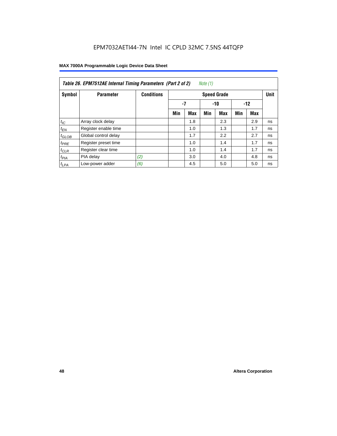| Table 26. EPM7512AE Internal Timing Parameters (Part 2 of 2)<br>Note (1) |                      |                   |     |     |     |                    |       |     |             |  |  |
|--------------------------------------------------------------------------|----------------------|-------------------|-----|-----|-----|--------------------|-------|-----|-------------|--|--|
| Symbol                                                                   | <b>Parameter</b>     | <b>Conditions</b> |     |     |     | <b>Speed Grade</b> |       |     | <b>Unit</b> |  |  |
|                                                                          |                      |                   | -7  |     |     | $-10$              | $-12$ |     |             |  |  |
|                                                                          |                      |                   | Min | Max | Min | <b>Max</b>         | Min   | Max |             |  |  |
| $t_{IC}$                                                                 | Array clock delay    |                   |     | 1.8 |     | 2.3                |       | 2.9 | ns          |  |  |
| $t_{EN}$                                                                 | Register enable time |                   |     | 1.0 |     | 1.3                |       | 1.7 | ns          |  |  |
| $t_{GLOB}$                                                               | Global control delay |                   |     | 1.7 |     | 2.2                |       | 2.7 | ns          |  |  |
| $t_{PRE}$                                                                | Register preset time |                   |     | 1.0 |     | 1.4                |       | 1.7 | ns          |  |  |
| $t_{CLR}$                                                                | Register clear time  |                   |     | 1.0 |     | 1.4                |       | 1.7 | ns          |  |  |
| t <sub>PIA</sub>                                                         | PIA delay            | (2)               |     | 3.0 |     | 4.0                |       | 4.8 | ns          |  |  |
| $t_{LPA}$                                                                | Low-power adder      | (6)               |     | 4.5 |     | 5.0                |       | 5.0 | ns          |  |  |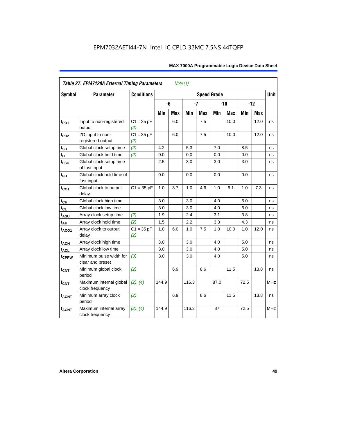|                         | Table 27. EPM7128A External Timing Parameters |                     |         | Note $(1)$ |       |            |                    |            |      |            |             |
|-------------------------|-----------------------------------------------|---------------------|---------|------------|-------|------------|--------------------|------------|------|------------|-------------|
| <b>Symbol</b>           | <b>Parameter</b>                              | <b>Conditions</b>   |         |            |       |            | <b>Speed Grade</b> |            |      |            | <b>Unit</b> |
|                         |                                               |                     |         | -6         | $-7$  |            |                    | $-10$      |      | $-12$      |             |
|                         |                                               |                     | Min     | Max        | Min   | <b>Max</b> | Min                | <b>Max</b> | Min  | <b>Max</b> |             |
| t <sub>PD1</sub>        | Input to non-registered<br>output             | $C1 = 35 pF$<br>(2) |         | 6.0        |       | $7.5\,$    |                    | 10.0       |      | 12.0       | ns          |
| $t_{PD2}$               | I/O input to non-<br>registered output        | $C1 = 35 pF$<br>(2) |         | 6.0        |       | 7.5        |                    | 10.0       |      | 12.0       | ns          |
| $t_{\text{SU}}$         | Global clock setup time                       | (2)                 | 4.2     |            | 5.3   |            | 7.0                |            | 8.5  |            | ns          |
| $t_H$                   | Global clock hold time                        | (2)                 | 0.0     |            | 0.0   |            | 0.0                |            | 0.0  |            | ns          |
| t <sub>FSU</sub>        | Global clock setup time<br>of fast input      |                     | $2.5\,$ |            | 3.0   |            | 3.0                |            | 3.0  |            | ns          |
| $t_{FH}$                | Global clock hold time of<br>fast input       |                     | 0.0     |            | 0.0   |            | 0.0                |            | 0.0  |            | ns          |
| $t_{CO1}$               | Global clock to output<br>delay               | $C1 = 35 pF$        | 1.0     | 3.7        | 1.0   | 4.6        | 1.0                | 6.1        | 1.0  | 7.3        | ns          |
| $t_{\mathsf{CH}}$       | Global clock high time                        |                     | 3.0     |            | 3.0   |            | 4.0                |            | 5.0  |            | ns          |
| $t_{CL}$                | Global clock low time                         |                     | 3.0     |            | 3.0   |            | 4.0                |            | 5.0  |            | ns          |
| t <sub>ASU</sub>        | Array clock setup time                        | (2)                 | 1.9     |            | 2.4   |            | 3.1                |            | 3.8  |            | ns          |
| t <sub>АН</sub>         | Array clock hold time                         | (2)                 | 1.5     |            | 2.2   |            | 3.3                |            | 4.3  |            | ns          |
| t <sub>ACO1</sub>       | Array clock to output<br>delay                | $C1 = 35 pF$<br>(2) | 1.0     | 6.0        | 1.0   | 7.5        | 1.0                | 10.0       | 1.0  | 12.0       | ns          |
| $t_{\sf ACH}$           | Array clock high time                         |                     | 3.0     |            | 3.0   |            | 4.0                |            | 5.0  |            | ns          |
| t <sub>ACL</sub>        | Array clock low time                          |                     | 3.0     |            | 3.0   |            | 4.0                |            | 5.0  |            | ns          |
| t <sub>CPPW</sub>       | Minimum pulse width for<br>clear and preset   | (3)                 | 3.0     |            | 3.0   |            | 4.0                |            | 5.0  |            | ns          |
| $t_{\text{CNT}}$        | Minimum global clock<br>period                | (2)                 |         | 6.9        |       | 8.6        |                    | 11.5       |      | 13.8       | ns          |
| $f_{\text{CNT}}$        | Maximum internal global<br>clock frequency    | (2), (4)            | 144.9   |            | 116.3 |            | 87.0               |            | 72.5 |            | MHz         |
| <b>t<sub>ACNT</sub></b> | Minimum array clock<br>period                 | (2)                 |         | 6.9        |       | 8.6        |                    | 11.5       |      | 13.8       | ns          |
| <b>fACNT</b>            | Maximum internal array<br>clock frequency     | (2), (4)            | 144.9   |            | 116.3 |            | 87                 |            | 72.5 |            | <b>MHz</b>  |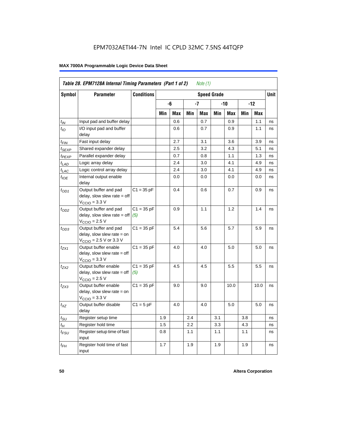|                             | Table 28. EPM7128A Internal Timing Parameters (Part 1 of 2)                                                |                     |     |     |     | Note (1) |                    |      |     |            |             |
|-----------------------------|------------------------------------------------------------------------------------------------------------|---------------------|-----|-----|-----|----------|--------------------|------|-----|------------|-------------|
| <b>Symbol</b>               | <b>Parameter</b>                                                                                           | <b>Conditions</b>   |     |     |     |          | <b>Speed Grade</b> |      |     |            | <b>Unit</b> |
|                             |                                                                                                            |                     |     | -6  |     | -7       |                    | -10  |     | $-12$      |             |
|                             |                                                                                                            |                     | Min | Max | Min | Max      | Min                | Max  | Min | <b>Max</b> |             |
| $t_{IN}$                    | Input pad and buffer delay                                                                                 |                     |     | 0.6 |     | 0.7      |                    | 0.9  |     | 1.1        | ns          |
| $t_{IO}$                    | I/O input pad and buffer<br>delay                                                                          |                     |     | 0.6 |     | 0.7      |                    | 0.9  |     | 1.1        | ns          |
| t <sub>FIN</sub>            | Fast input delay                                                                                           |                     |     | 2.7 |     | 3.1      |                    | 3.6  |     | 3.9        | ns          |
| t <sub>SEXP</sub>           | Shared expander delay                                                                                      |                     |     | 2.5 |     | 3.2      |                    | 4.3  |     | 5.1        | ns          |
| t <sub>PEXP</sub>           | Parallel expander delay                                                                                    |                     |     | 0.7 |     | 0.8      |                    | 1.1  |     | 1.3        | ns          |
| $t_{LAD}$                   | Logic array delay                                                                                          |                     |     | 2.4 |     | 3.0      |                    | 4.1  |     | 4.9        | ns          |
| $t_{LAC}$                   | Logic control array delay                                                                                  |                     |     | 2.4 |     | 3.0      |                    | 4.1  |     | 4.9        | ns          |
| $t_{\text{IOE}}$            | Internal output enable<br>delay                                                                            |                     |     | 0.0 |     | 0.0      |                    | 0.0  |     | 0.0        | ns          |
| $t_{OD1}$                   | Output buffer and pad<br>delay, slow slew rate = off<br>$VCCIO = 3.3 V$                                    | $C1 = 35 pF$        |     | 0.4 |     | 0.6      |                    | 0.7  |     | 0.9        | ns          |
| $t_{OD2}$                   | Output buffer and pad<br>delay, slow slew rate $=$ off<br>$VCCIO = 2.5 V$                                  | $C1 = 35 pF$<br>(5) |     | 0.9 |     | 1.1      |                    | 1.2  |     | 1.4        | ns          |
| $t_{OD3}$                   | Output buffer and pad<br>delay, slow slew rate = on<br>$V_{\text{CCIO}} = 2.5 \text{ V or } 3.3 \text{ V}$ | $C1 = 35 pF$        |     | 5.4 |     | 5.6      |                    | 5.7  |     | 5.9        | ns          |
| t <sub>ZX1</sub>            | Output buffer enable<br>$delay$ , slow slew rate = off<br>$VCCIO = 3.3 V$                                  | $C1 = 35 pF$        |     | 4.0 |     | 4.0      |                    | 5.0  |     | 5.0        | ns          |
| $t_{ZX2}$                   | Output buffer enable<br>$delay$ , slow slew rate = off<br>$VCCIO = 2.5 V$                                  | $C1 = 35 pF$<br>(5) |     | 4.5 |     | 4.5      |                    | 5.5  |     | 5.5        | ns          |
| t <sub>ZX3</sub>            | Output buffer enable<br>delay, slow slew rate = on<br>$VCCIO = 3.3 V$                                      | $C1 = 35 pF$        |     | 9.0 |     | 9.0      |                    | 10.0 |     | 10.0       | ns          |
| $t_{XZ}$                    | Output buffer disable<br>delay                                                                             | $C1 = 5$ pF         |     | 4.0 |     | 4.0      |                    | 5.0  |     | 5.0        | ns          |
| $t_{\scriptstyle\text{SU}}$ | Register setup time                                                                                        |                     | 1.9 |     | 2.4 |          | 3.1                |      | 3.8 |            | ns          |
| $t_{\mathcal{H}}$           | Register hold time                                                                                         |                     | 1.5 |     | 2.2 |          | 3.3                |      | 4.3 |            | ns          |
| $t_{\mathsf{FSU}}$          | Register setup time of fast<br>input                                                                       |                     | 0.8 |     | 1.1 |          | 1.1                |      | 1.1 |            | ns          |
| $t_{FH}$                    | Register hold time of fast<br>input                                                                        |                     | 1.7 |     | 1.9 |          | 1.9                |      | 1.9 |            | ns          |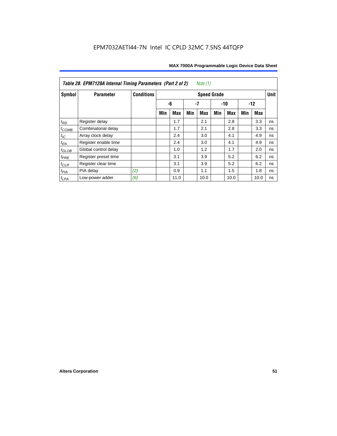| Table 28. EPM7128A Internal Timing Parameters (Part 2 of 2)<br>Note $(1)$ |                      |                   |                    |            |     |            |       |            |       |             |    |
|---------------------------------------------------------------------------|----------------------|-------------------|--------------------|------------|-----|------------|-------|------------|-------|-------------|----|
| Symbol                                                                    | <b>Parameter</b>     | <b>Conditions</b> | <b>Speed Grade</b> |            |     |            |       |            |       | <b>Unit</b> |    |
|                                                                           |                      |                   |                    | -6         | -7  |            | $-10$ |            | $-12$ |             |    |
|                                                                           |                      |                   | Min                | <b>Max</b> | Min | <b>Max</b> | Min   | <b>Max</b> | Min   | Max         |    |
| $t_{RD}$                                                                  | Register delay       |                   |                    | 1.7        |     | 2.1        |       | 2.8        |       | 3.3         | ns |
| $t_{COMB}$                                                                | Combinatorial delay  |                   |                    | 1.7        |     | 2.1        |       | 2.8        |       | 3.3         | ns |
| $t_{IC}$                                                                  | Array clock delay    |                   |                    | 2.4        |     | 3.0        |       | 4.1        |       | 4.9         | ns |
| $t_{EN}$                                                                  | Register enable time |                   |                    | 2.4        |     | 3.0        |       | 4.1        |       | 4.9         | ns |
| $t_{\text{GLOB}}$                                                         | Global control delay |                   |                    | 1.0        |     | 1.2        |       | 1.7        |       | 2.0         | ns |
| $t_{PRE}$                                                                 | Register preset time |                   |                    | 3.1        |     | 3.9        |       | 5.2        |       | 6.2         | ns |
| $t_{\text{CLR}}$                                                          | Register clear time  |                   |                    | 3.1        |     | 3.9        |       | 5.2        |       | 6.2         | ns |
| $t_{PIA}$                                                                 | PIA delay            | (2)               |                    | 0.9        |     | 1.1        |       | 1.5        |       | 1.8         | ns |
| $t_{LPA}$                                                                 | Low-power adder      | (6)               |                    | 11.0       |     | 10.0       |       | 10.0       |       | 10.0        | ns |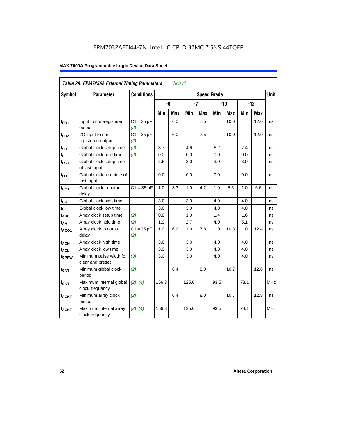| Table 29. EPM7256A External Timing Parameters<br>Note $(1)$ |                                             |                     |                    |     |       |            |       |            |       |             |            |
|-------------------------------------------------------------|---------------------------------------------|---------------------|--------------------|-----|-------|------------|-------|------------|-------|-------------|------------|
| Symbol                                                      | <b>Parameter</b>                            | <b>Conditions</b>   | <b>Speed Grade</b> |     |       |            |       |            |       | <b>Unit</b> |            |
|                                                             |                                             |                     |                    | -6  | $-7$  |            | $-10$ |            | $-12$ |             |            |
|                                                             |                                             |                     | Min                | Max | Min   | <b>Max</b> | Min   | <b>Max</b> | Min   | Max         |            |
| t <sub>PD1</sub>                                            | Input to non-registered<br>output           | $C1 = 35 pF$<br>(2) |                    | 6.0 |       | 7.5        |       | 10.0       |       | 12.0        | ns         |
| t <sub>PD2</sub>                                            | I/O input to non-<br>registered output      | $C1 = 35 pF$<br>(2) |                    | 6.0 |       | 7.5        |       | 10.0       |       | 12.0        | ns         |
| $t_{\text{SU}}$                                             | Global clock setup time                     | (2)                 | 3.7                |     | 4.6   |            | 6.2   |            | 7.4   |             | ns         |
| $t_H$                                                       | Global clock hold time                      | (2)                 | 0.0                |     | 0.0   |            | 0.0   |            | 0.0   |             | ns         |
| $t_{\text{FSU}}$                                            | Global clock setup time<br>of fast input    |                     | 2.5                |     | 3.0   |            | 3.0   |            | 3.0   |             | ns         |
| $t_{FH}$                                                    | Global clock hold time of<br>fast input     |                     | 0.0                |     | 0.0   |            | 0.0   |            | 0.0   |             | ns         |
| $t_{CO1}$                                                   | Global clock to output<br>delay             | $C1 = 35 pF$        | 1.0                | 3.3 | 1.0   | 4.2        | 1.0   | 5.5        | 1.0   | 6.6         | ns         |
| $t_{CH}$                                                    | Global clock high time                      |                     | 3.0                |     | 3.0   |            | 4.0   |            | 4.0   |             | ns         |
| $t_{CL}$                                                    | Global clock low time                       |                     | 3.0                |     | 3.0   |            | 4.0   |            | 4.0   |             | ns         |
| t <sub>ASU</sub>                                            | Array clock setup time                      | (2)                 | 0.8                |     | 1.0   |            | 1.4   |            | 1.6   |             | ns         |
| $t_{AH}$                                                    | Array clock hold time                       | (2)                 | 1.9                |     | 2.7   |            | 4.0   |            | 5.1   |             | ns         |
| $t_{ACO1}$                                                  | Array clock to output<br>delay              | $C1 = 35 pF$<br>(2) | 1.0                | 6.2 | 1.0   | 7.8        | 1.0   | 10.3       | 1.0   | 12.4        | ns         |
| $t_{ACH}$                                                   | Array clock high time                       |                     | 3.0                |     | 3.0   |            | 4.0   |            | 4.0   |             | ns         |
| $t_{\text{ACL}}$                                            | Array clock low time                        |                     | 3.0                |     | 3.0   |            | 4.0   |            | 4.0   |             | ns         |
| t <sub>CPPW</sub>                                           | Minimum pulse width for<br>clear and preset | (3)                 | 3.0                |     | 3.0   |            | 4.0   |            | 4.0   |             | ns         |
| $t_{\text{CNT}}$                                            | Minimum global clock<br>period              | (2)                 |                    | 6.4 |       | 8.0        |       | 10.7       |       | 12.8        | ns         |
| $f_{CNT}$                                                   | Maximum internal global<br>clock frequency  | (2), (4)            | 156.3              |     | 125.0 |            | 93.5  |            | 78.1  |             | <b>MHz</b> |
| t <sub>ACNT</sub>                                           | Minimum array clock<br>period               | (2)                 |                    | 6.4 |       | 8.0        |       | 10.7       |       | 12.8        | ns         |
| <b>fACNT</b>                                                | Maximum internal array<br>clock frequency   | (2), (4)            | 156.3              |     | 125.0 |            | 93.5  |            | 78.1  |             | <b>MHz</b> |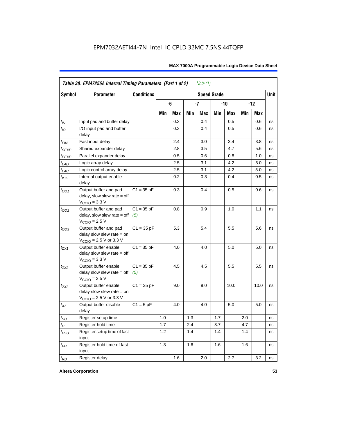| Symbol                      | <b>Parameter</b>                                                                                            | <b>Conditions</b><br><b>Speed Grade</b> |     |            |     |            |     |            |     |            | <b>Unit</b> |
|-----------------------------|-------------------------------------------------------------------------------------------------------------|-----------------------------------------|-----|------------|-----|------------|-----|------------|-----|------------|-------------|
|                             |                                                                                                             |                                         |     | -6         |     | $-7$       |     | -10        |     | $-12$      |             |
|                             |                                                                                                             |                                         | Min | <b>Max</b> | Min | <b>Max</b> | Min | <b>Max</b> | Min | <b>Max</b> |             |
| $t_{IN}$                    | Input pad and buffer delay                                                                                  |                                         |     | 0.3        |     | 0.4        |     | 0.5        |     | 0.6        | ns          |
| $t_{IO}$                    | I/O input pad and buffer<br>delay                                                                           |                                         |     | 0.3        |     | 0.4        |     | 0.5        |     | 0.6        | ns          |
| t <sub>FIN</sub>            | Fast input delay                                                                                            |                                         |     | 2.4        |     | 3.0        |     | 3.4        |     | 3.8        | ns          |
| $t_{SEXP}$                  | Shared expander delay                                                                                       |                                         |     | 2.8        |     | 3.5        |     | 4.7        |     | 5.6        | ns          |
| t <sub>PEXP</sub>           | Parallel expander delay                                                                                     |                                         |     | 0.5        |     | 0.6        |     | 0.8        |     | 1.0        | ns          |
| $t_{L\underline{AD}}$       | Logic array delay                                                                                           |                                         |     | 2.5        |     | 3.1        |     | 4.2        |     | 5.0        | ns          |
| t <sub>LAC</sub>            | Logic control array delay                                                                                   |                                         |     | 2.5        |     | 3.1        |     | 4.2        |     | 5.0        | ns          |
| $t_{\mathit{IOE}}$          | Internal output enable<br>delay                                                                             |                                         |     | 0.2        |     | 0.3        |     | 0.4        |     | 0.5        | ns          |
| $t_{OD1}$                   | Output buffer and pad<br>delay, slow slew rate $=$ off<br>$VCCIO = 3.3 V$                                   | $C1 = 35 pF$                            |     | 0.3        |     | 0.4        |     | 0.5        |     | 0.6        | ns          |
| $t_{OD2}$                   | Output buffer and pad<br>$delay$ , slow slew rate = off<br>$VCCIO = 2.5 V$                                  | $C1 = 35 pF$<br>(5)                     |     | 0.8        |     | 0.9        |     | 1.0        |     | 1.1        | ns          |
| $t_{OD3}$                   | Output buffer and pad<br>delay slow slew rate $=$ on<br>$V_{\text{CCIO}} = 2.5 \text{ V or } 3.3 \text{ V}$ | $C1 = 35 pF$                            |     | 5.3        |     | 5.4        |     | 5.5        |     | 5.6        | ns          |
| $t_{ZX1}$                   | Output buffer enable<br>delay slow slew rate $=$ off<br>$VCCIO = 3.3 V$                                     | $C1 = 35 pF$                            |     | 4.0        |     | 4.0        |     | 5.0        |     | 5.0        | ns          |
| t <sub>ZX2</sub>            | Output buffer enable<br>delay slow slew rate $=$ off<br>$V_{\text{CCIO}} = 2.5 V$                           | $C1 = 35 pF$<br>(5)                     |     | 4.5        |     | 4.5        |     | 5.5        |     | 5.5        | ns          |
| $t_{ZX3}$                   | Output buffer enable<br>delay slow slew rate $=$ on<br>$V_{\text{CCIO}} = 2.5 \text{ V or } 3.3 \text{ V}$  | $C1 = 35 pF$                            |     | 9.0        |     | 9.0        |     | 10.0       |     | 10.0       | ns          |
| $t_{XZ}$                    | Output buffer disable<br>delay                                                                              | $C1 = 5pF$                              |     | 4.0        |     | 4.0        |     | 5.0        |     | 5.0        | ns          |
| $t_{\scriptstyle\text{SU}}$ | Register setup time                                                                                         |                                         | 1.0 |            | 1.3 |            | 1.7 |            | 2.0 |            | ns          |
| $t_{H}$                     | Register hold time                                                                                          |                                         | 1.7 |            | 2.4 |            | 3.7 |            | 4.7 |            | ns          |
| $t_{\it FSU}$               | Register setup time of fast<br>input                                                                        |                                         | 1.2 |            | 1.4 |            | 1.4 |            | 1.4 |            | ns          |
| $t_{FH}$                    | Register hold time of fast<br>input                                                                         |                                         | 1.3 |            | 1.6 |            | 1.6 |            | 1.6 |            | ns          |
| $t_{RD}$                    | Register delay                                                                                              |                                         |     | 1.6        |     | 2.0        |     | 2.7        |     | 3.2        | ns          |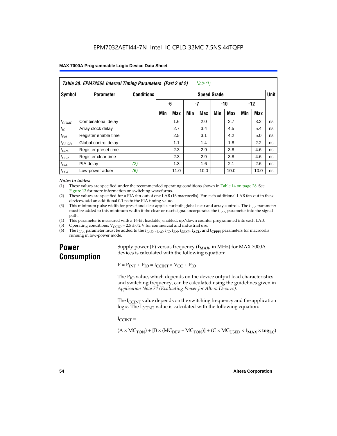| Table 30. EPM7256A Internal Timing Parameters (Part 2 of 2)<br>Note (1) |                      |                   |                    |            |     |       |     |       |     |      |    |
|-------------------------------------------------------------------------|----------------------|-------------------|--------------------|------------|-----|-------|-----|-------|-----|------|----|
| Symbol                                                                  | <b>Parameter</b>     | <b>Conditions</b> | <b>Speed Grade</b> |            |     |       |     |       |     |      |    |
|                                                                         |                      |                   |                    | -6<br>$-7$ |     | $-10$ |     | $-12$ |     |      |    |
|                                                                         |                      |                   | Min                | <b>Max</b> | Min | Max   | Min | Max   | Min | Max  |    |
| $t_{COMB}$                                                              | Combinatorial delay  |                   |                    | 1.6        |     | 2.0   |     | 2.7   |     | 3.2  | ns |
| $t_{\text{IC}}$                                                         | Array clock delay    |                   |                    | 2.7        |     | 3.4   |     | 4.5   |     | 5.4  | ns |
| $t_{EN}$                                                                | Register enable time |                   |                    | 2.5        |     | 3.1   |     | 4.2   |     | 5.0  | ns |
| $t_{GLOB}$                                                              | Global control delay |                   |                    | 1.1        |     | 1.4   |     | 1.8   |     | 2.2  | ns |
| $t_{PRE}$                                                               | Register preset time |                   |                    | 2.3        |     | 2.9   |     | 3.8   |     | 4.6  | ns |
| $t_{CLR}$                                                               | Register clear time  |                   |                    | 2.3        |     | 2.9   |     | 3.8   |     | 4.6  | ns |
| t <sub>PIA</sub>                                                        | PIA delay            | (2)               |                    | 1.3        |     | 1.6   |     | 2.1   |     | 2.6  | ns |
| $t_{LPA}$                                                               | Low-power adder      | (6)               |                    | 11.0       |     | 10.0  |     | 10.0  |     | 10.0 | ns |

#### *Notes to tables:*

(1) These values are specified under the recommended operating conditions shown in Table 14 on page 28. See Figure 12 for more information on switching waveforms.

- (2) These values are specified for a PIA fan-out of one LAB (16 macrocells). For each additional LAB fan-out in these devices, add an additional 0.1 ns to the PIA timing value.
- (3) This minimum pulse width for preset and clear applies for both global clear and array controls. The  $t_{LPA}$  parameter must be added to this minimum width if the clear or reset signal incorporates the  $t_{LAD}$  parameter into the signal path.
- (4) This parameter is measured with a 16-bit loadable, enabled, up/down counter programmed into each LAB.
- (5) Operating conditions:  $V_{\text{CCIO}} = 2.5 \pm 0.2 \text{ V}$  for commercial and industrial use.<br>(6) The  $t_{I}$  parameter must be added to the  $t_{I}$  AD,  $t_{I}$  ac,  $t_{\text{IC}}$ ,  $t_{\text{EN}}$ ,  $t_{\text{SVP}}$ ,  $t_{\text{ACI}}$ , and
- The  $t_{LPA}$  parameter must be added to the  $t_{LAD}$ ,  $t_{LAC}$ ,  $t_{IC}$ ,  $t_{EN}$ ,  $t_{SEXP}$ ,  $t_{ACL}$  and  $t_{CPPW}$  parameters for macrocells running in low-power mode.

## **Power Consumption**

Supply power (P) versus frequency  $(f_{MAX}$ , in MHz) for MAX 7000A devices is calculated with the following equation:

 $P = P_{INT} + P_{IO} = I_{CCINT} \times V_{CC} + P_{IO}$ 

The  $P_{IO}$  value, which depends on the device output load characteristics and switching frequency, can be calculated using the guidelines given in *Application Note 74 (Evaluating Power for Altera Devices)*.

The  $I_{\text{CUNT}}$  value depends on the switching frequency and the application logic. The  $I_{\text{CCINT}}$  value is calculated with the following equation:

 $I_{\text{CCMT}} =$ 

 $(A \times MC_{TON}) + [B \times (MC_{DEV} - MC_{TON})] + (C \times MC_{LISED} \times f_{MAX} \times tog_{LC})$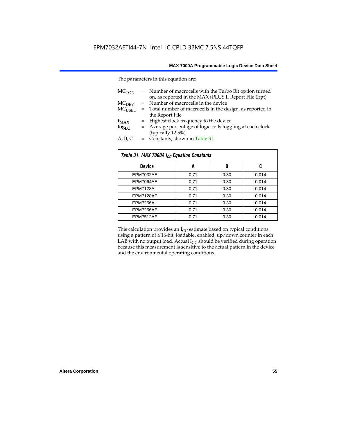The parameters in this equation are:

| MC <sub>TON</sub> | = Number of macrocells with the Turbo Bit option turned<br>on, as reported in the MAX+PLUS II Report File (.rpt) |
|-------------------|------------------------------------------------------------------------------------------------------------------|
| MC <sub>DFV</sub> | = Number of macrocells in the device                                                                             |
| $MC_{LISED}$      | = Total number of macrocells in the design, as reported in                                                       |
|                   | the Report File                                                                                                  |
| $f_{MAX}$         | = Highest clock frequency to the device                                                                          |
| $tog_{LC}$        | = Average percentage of logic cells toggling at each clock                                                       |
|                   | (typically 12.5%)                                                                                                |
| A, B, C           | = Constants, shown in Table 31                                                                                   |

| Table 31. MAX 7000A I <sub>CC</sub> Equation Constants |      |      |       |  |  |
|--------------------------------------------------------|------|------|-------|--|--|
| <b>Device</b>                                          | A    | B    | C     |  |  |
| EPM7032AE                                              | 0.71 | 0.30 | 0.014 |  |  |
| EPM7064AE                                              | 0.71 | 0.30 | 0.014 |  |  |
| <b>EPM7128A</b>                                        | 0.71 | 0.30 | 0.014 |  |  |
| EPM7128AE                                              | 0.71 | 0.30 | 0.014 |  |  |
| <b>EPM7256A</b>                                        | 0.71 | 0.30 | 0.014 |  |  |
| EPM7256AE                                              | 0.71 | 0.30 | 0.014 |  |  |
| EPM7512AE                                              | 0.71 | 0.30 | 0.014 |  |  |

This calculation provides an  $I_{CC}$  estimate based on typical conditions using a pattern of a 16-bit, loadable, enabled, up/down counter in each LAB with no output load. Actual  $I_{CC}$  should be verified during operation because this measurement is sensitive to the actual pattern in the device and the environmental operating conditions.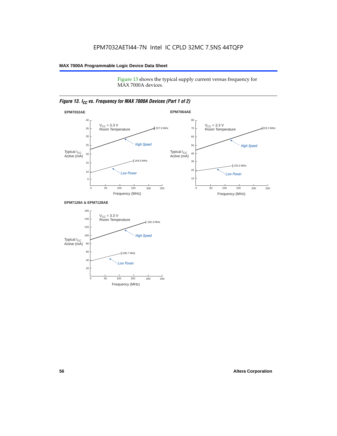Figure 13 shows the typical supply current versus frequency for MAX 7000A devices.

## *Figure 13. I<sub>CC</sub> vs. Frequency for MAX 7000A Devices (Part 1 of 2)*



#### **EPM7128A & EPM7128AE**

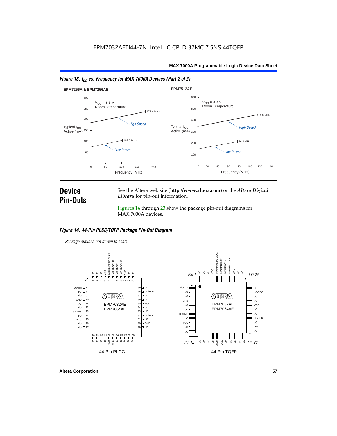



## **Device Pin-Outs**

See the Altera web site (**http://www.altera.com**) or the *Altera Digital Library* for pin-out information.

Figures 14 through 23 show the package pin-out diagrams for MAX 7000A devices.

#### *Figure 14. 44-Pin PLCC/TQFP Package Pin-Out Diagram*

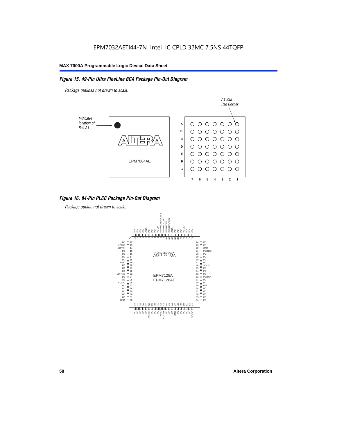### *Figure 15. 49-Pin Ultra FineLine BGA Package Pin-Out Diagram*

*Package outlines not drawn to scale.*



### *Figure 16. 84-Pin PLCC Package Pin-Out Diagram*

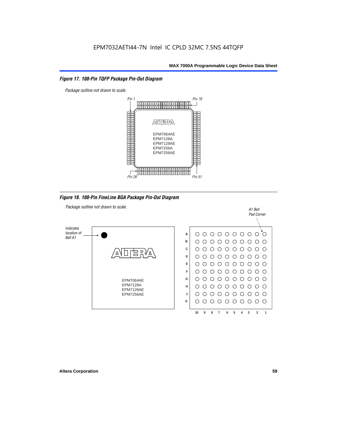#### *Figure 17. 100-Pin TQFP Package Pin-Out Diagram*



*Figure 18. 100-Pin FineLine BGA Package Pin-Out Diagram*

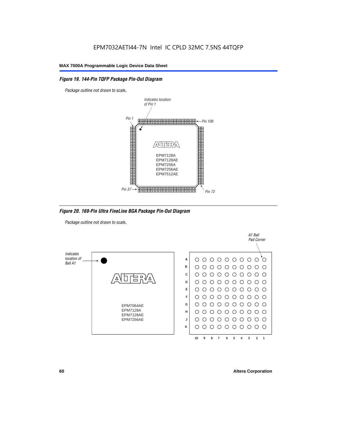### *Figure 19. 144-Pin TQFP Package Pin-Out Diagram*

*Package outline not drawn to scale*.



*Figure 20. 169-Pin Ultra FineLine BGA Package Pin-Out Diagram*

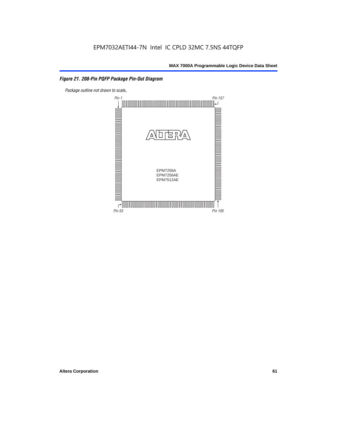## *Figure 21. 208-Pin PQFP Package Pin-Out Diagram*

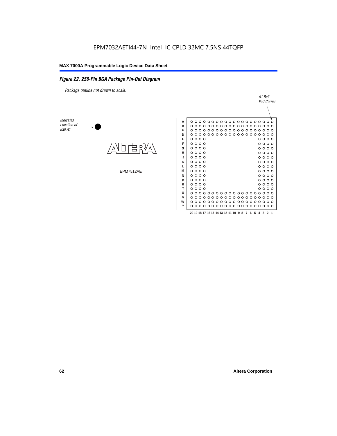#### *Figure 22. 256-Pin BGA Package Pin-Out Diagram*

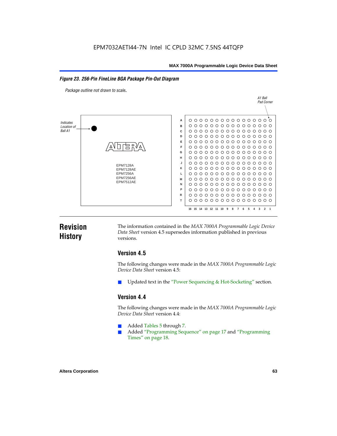### *Figure 23. 256-Pin FineLine BGA Package Pin-Out Diagram*

*Package outline not drawn to scale*.



## **Revision History**

The information contained in the *MAX 7000A Programmable Logic Device Data Sheet* version 4.5 supersedes information published in previous versions.

## **Version 4.5**

The following changes were made in the *MAX 7000A Programmable Logic Device Data Sheet* version 4.5:

Updated text in the "Power Sequencing & Hot-Socketing" section.

## **Version 4.4**

The following changes were made in the *MAX 7000A Programmable Logic Device Data Sheet* version 4.4:

- Added Tables 5 through 7.
	- Added "Programming Sequence" on page 17 and "Programming Times" on page 18.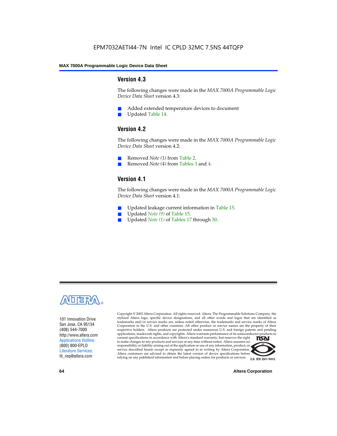## **Version 4.3**

The following changes were made in the *MAX 7000A Programmable Logic Device Data Sheet* version 4.3:

- Added extended temperature devices to document
- Updated Table 14.

## **Version 4.2**

The following changes were made in the *MAX 7000A Programmable Logic Device Data Sheet* version 4.2:

- Removed *Note (1)* from Table 2.
- Removed *Note (4)* from Tables 3 and 4.

## **Version 4.1**

The following changes were made in the *MAX 7000A Programmable Logic Device Data Sheet* version 4.1:

- Updated leakage current information in Table 15.
- Updated *Note (9)* of Table 15.
- Updated *Note* (1) of Tables 17 through 30.



101 Innovation Drive San Jose, CA 95134 (408) 544-7000 http://www.altera.com Applications Hotline: (800) 800-EPLD Literature Services: lit\_req@altera.com

Copyright © 2003 Altera Corporation. All rights reserved. Altera, The Programmable Solutions Company, the stylized Altera logo, specific device designations, and all other words and logos that are identified as trademarks and/or service marks are, unless noted otherwise, the trademarks and service marks of Altera Corporation in the U.S. and other countries. All other product or service names are the property of their respective holders. Altera products are protected under numerous U.S. and foreign patents and pending applications, maskwork rights, and copyrights. Altera warrants performance of its semiconductor products to current specifications in accordance with Altera's standard warranty, but reserves the right **TSAI** to make changes to any products and services at any time without notice. Altera assumes no responsibility or liability arising out of the application or use of any information, product, or service described herein except as expressly agreed to in writing by Altera Corporation. Altera customers are advised to obtain the latest version of device specifications before relying on any published information and before placing orders for products or services.



**I.S. EN ISO 9001** 

**64 Altera Corporation**